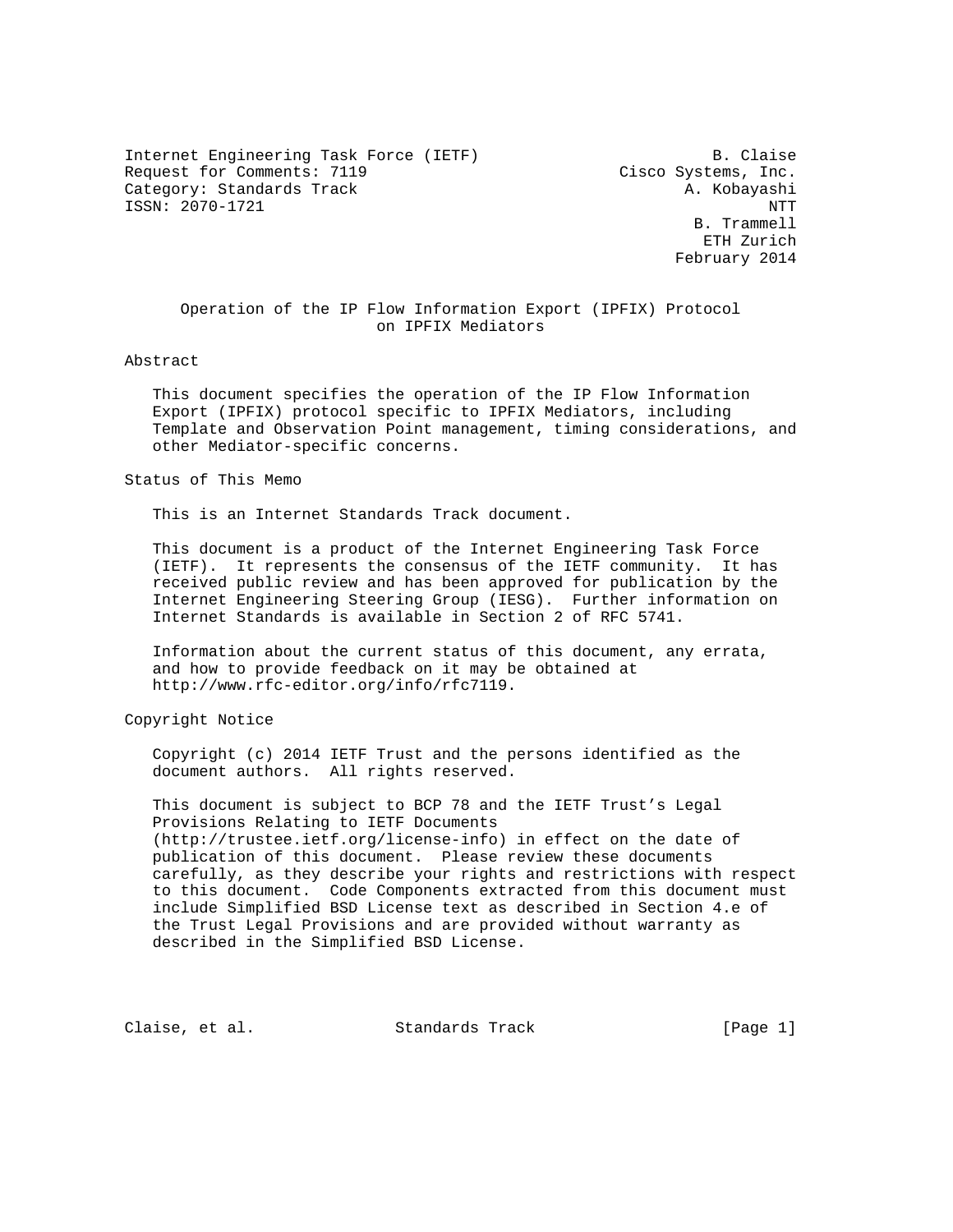Internet Engineering Task Force (IETF) B. Claise Request for Comments: 7119 Cisco Systems, Inc. Category: Standards Track A. Kobayashi ISSN: 2070-1721 NTT

 B. Trammell ETH Zurich February 2014

 Operation of the IP Flow Information Export (IPFIX) Protocol on IPFIX Mediators

Abstract

 This document specifies the operation of the IP Flow Information Export (IPFIX) protocol specific to IPFIX Mediators, including Template and Observation Point management, timing considerations, and other Mediator-specific concerns.

Status of This Memo

This is an Internet Standards Track document.

 This document is a product of the Internet Engineering Task Force (IETF). It represents the consensus of the IETF community. It has received public review and has been approved for publication by the Internet Engineering Steering Group (IESG). Further information on Internet Standards is available in Section 2 of RFC 5741.

 Information about the current status of this document, any errata, and how to provide feedback on it may be obtained at http://www.rfc-editor.org/info/rfc7119.

Copyright Notice

 Copyright (c) 2014 IETF Trust and the persons identified as the document authors. All rights reserved.

 This document is subject to BCP 78 and the IETF Trust's Legal Provisions Relating to IETF Documents (http://trustee.ietf.org/license-info) in effect on the date of publication of this document. Please review these documents carefully, as they describe your rights and restrictions with respect to this document. Code Components extracted from this document must include Simplified BSD License text as described in Section 4.e of the Trust Legal Provisions and are provided without warranty as described in the Simplified BSD License.

Claise, et al. Standards Track [Page 1]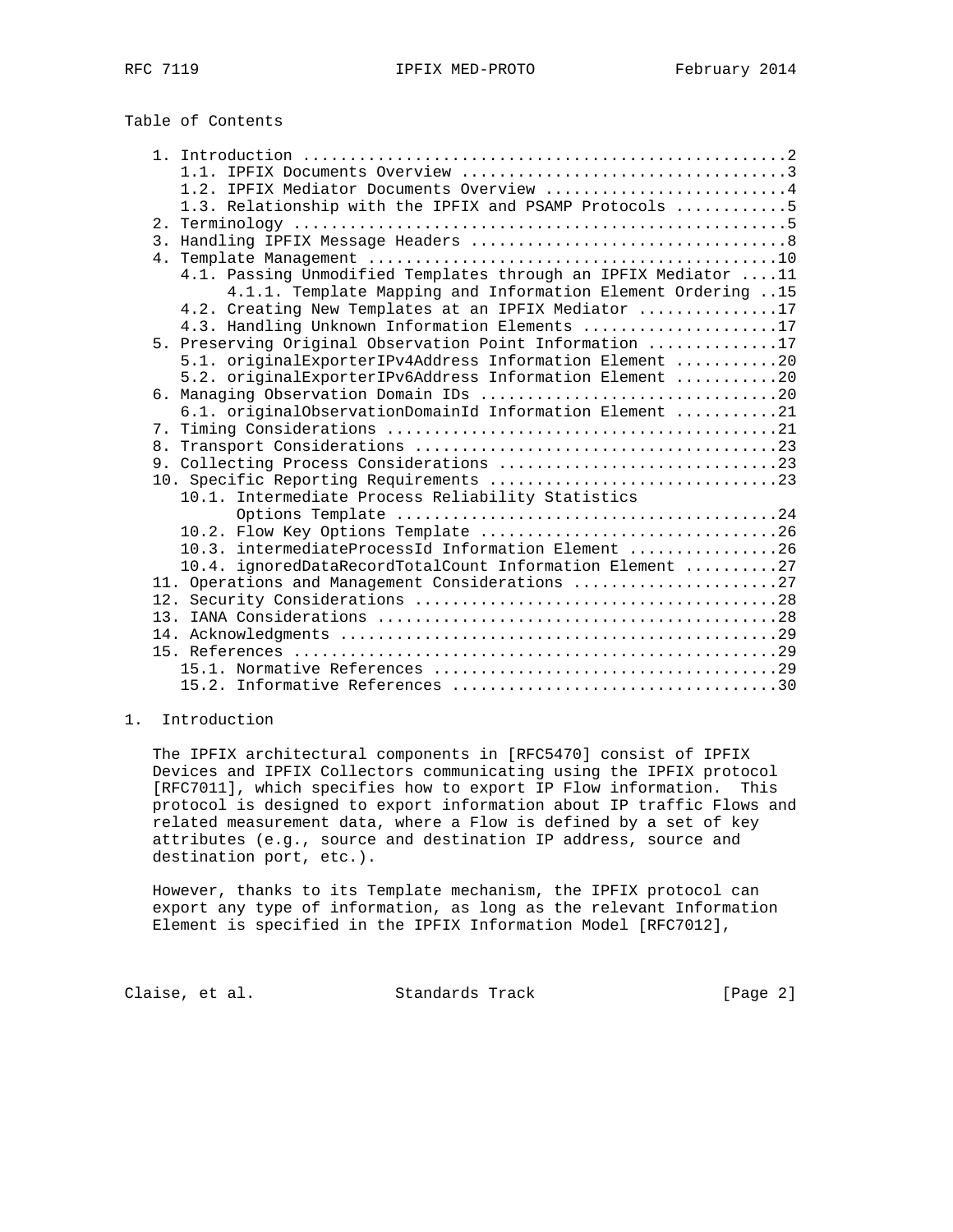Table of Contents

|  | 1.2. IPFIX Mediator Documents Overview 4                        |  |
|--|-----------------------------------------------------------------|--|
|  | 1.3. Relationship with the IPFIX and PSAMP Protocols 5          |  |
|  |                                                                 |  |
|  |                                                                 |  |
|  |                                                                 |  |
|  | 4.1. Passing Unmodified Templates through an IPFIX Mediator  11 |  |
|  | 4.1.1. Template Mapping and Information Element Ordering 15     |  |
|  | 4.2. Creating New Templates at an IPFIX Mediator 17             |  |
|  | 4.3. Handling Unknown Information Elements 17                   |  |
|  | 5. Preserving Original Observation Point Information 17         |  |
|  | 5.1. originalExporterIPv4Address Information Element 20         |  |
|  | 5.2. originalExporterIPv6Address Information Element 20         |  |
|  |                                                                 |  |
|  | 6.1. originalObservationDomainId Information Element 21         |  |
|  |                                                                 |  |
|  |                                                                 |  |
|  |                                                                 |  |
|  |                                                                 |  |
|  | 10.1. Intermediate Process Reliability Statistics               |  |
|  |                                                                 |  |
|  |                                                                 |  |
|  | 10.3. intermediateProcessId Information Element 26              |  |
|  | 10.4. ignoredDataRecordTotalCount Information Element 27        |  |
|  | 11. Operations and Management Considerations 27                 |  |
|  |                                                                 |  |
|  |                                                                 |  |
|  |                                                                 |  |
|  |                                                                 |  |
|  |                                                                 |  |
|  |                                                                 |  |

# 1. Introduction

 The IPFIX architectural components in [RFC5470] consist of IPFIX Devices and IPFIX Collectors communicating using the IPFIX protocol [RFC7011], which specifies how to export IP Flow information. This protocol is designed to export information about IP traffic Flows and related measurement data, where a Flow is defined by a set of key attributes (e.g., source and destination IP address, source and destination port, etc.).

 However, thanks to its Template mechanism, the IPFIX protocol can export any type of information, as long as the relevant Information Element is specified in the IPFIX Information Model [RFC7012],

Claise, et al. Standards Track [Page 2]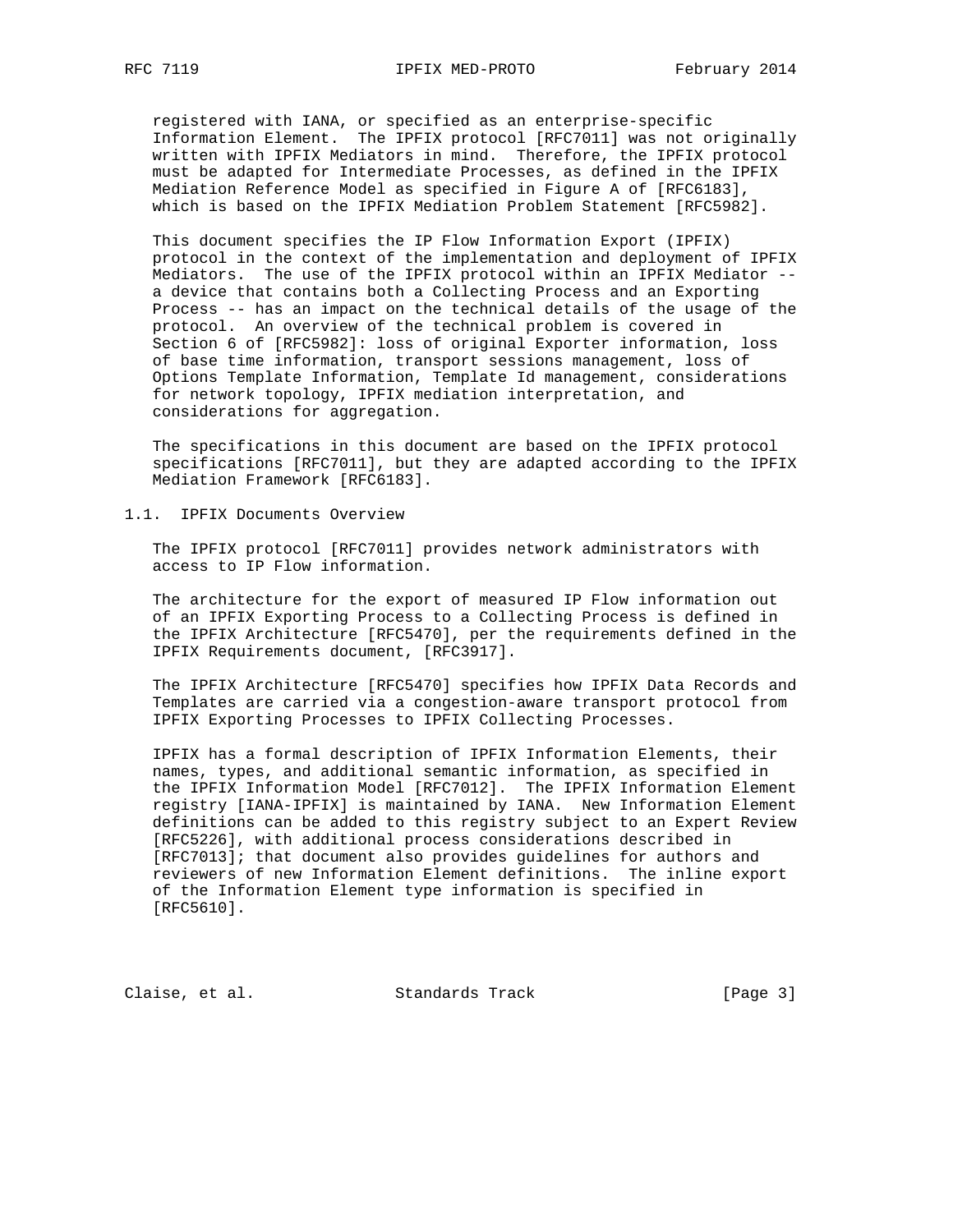registered with IANA, or specified as an enterprise-specific Information Element. The IPFIX protocol [RFC7011] was not originally written with IPFIX Mediators in mind. Therefore, the IPFIX protocol must be adapted for Intermediate Processes, as defined in the IPFIX Mediation Reference Model as specified in Figure A of [RFC6183], which is based on the IPFIX Mediation Problem Statement [RFC5982].

 This document specifies the IP Flow Information Export (IPFIX) protocol in the context of the implementation and deployment of IPFIX Mediators. The use of the IPFIX protocol within an IPFIX Mediator - a device that contains both a Collecting Process and an Exporting Process -- has an impact on the technical details of the usage of the protocol. An overview of the technical problem is covered in Section 6 of [RFC5982]: loss of original Exporter information, loss of base time information, transport sessions management, loss of Options Template Information, Template Id management, considerations for network topology, IPFIX mediation interpretation, and considerations for aggregation.

 The specifications in this document are based on the IPFIX protocol specifications [RFC7011], but they are adapted according to the IPFIX Mediation Framework [RFC6183].

1.1. IPFIX Documents Overview

 The IPFIX protocol [RFC7011] provides network administrators with access to IP Flow information.

 The architecture for the export of measured IP Flow information out of an IPFIX Exporting Process to a Collecting Process is defined in the IPFIX Architecture [RFC5470], per the requirements defined in the IPFIX Requirements document, [RFC3917].

 The IPFIX Architecture [RFC5470] specifies how IPFIX Data Records and Templates are carried via a congestion-aware transport protocol from IPFIX Exporting Processes to IPFIX Collecting Processes.

 IPFIX has a formal description of IPFIX Information Elements, their names, types, and additional semantic information, as specified in the IPFIX Information Model [RFC7012]. The IPFIX Information Element registry [IANA-IPFIX] is maintained by IANA. New Information Element definitions can be added to this registry subject to an Expert Review [RFC5226], with additional process considerations described in [RFC7013]; that document also provides guidelines for authors and reviewers of new Information Element definitions. The inline export of the Information Element type information is specified in [RFC5610].

Claise, et al. Standards Track [Page 3]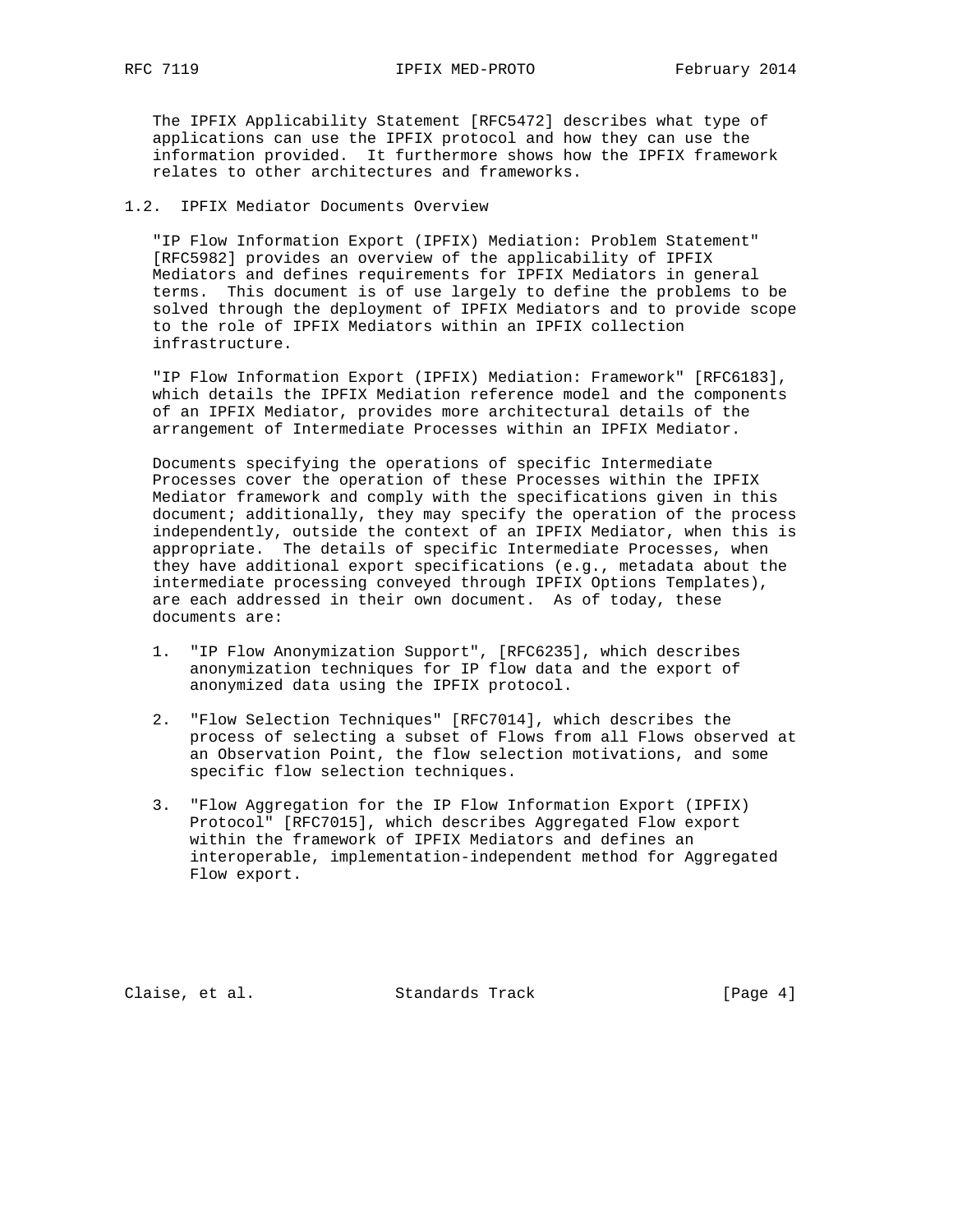The IPFIX Applicability Statement [RFC5472] describes what type of applications can use the IPFIX protocol and how they can use the information provided. It furthermore shows how the IPFIX framework relates to other architectures and frameworks.

# 1.2. IPFIX Mediator Documents Overview

 "IP Flow Information Export (IPFIX) Mediation: Problem Statement" [RFC5982] provides an overview of the applicability of IPFIX Mediators and defines requirements for IPFIX Mediators in general terms. This document is of use largely to define the problems to be solved through the deployment of IPFIX Mediators and to provide scope to the role of IPFIX Mediators within an IPFIX collection infrastructure.

 "IP Flow Information Export (IPFIX) Mediation: Framework" [RFC6183], which details the IPFIX Mediation reference model and the components of an IPFIX Mediator, provides more architectural details of the arrangement of Intermediate Processes within an IPFIX Mediator.

 Documents specifying the operations of specific Intermediate Processes cover the operation of these Processes within the IPFIX Mediator framework and comply with the specifications given in this document; additionally, they may specify the operation of the process independently, outside the context of an IPFIX Mediator, when this is appropriate. The details of specific Intermediate Processes, when they have additional export specifications (e.g., metadata about the intermediate processing conveyed through IPFIX Options Templates), are each addressed in their own document. As of today, these documents are:

- 1. "IP Flow Anonymization Support", [RFC6235], which describes anonymization techniques for IP flow data and the export of anonymized data using the IPFIX protocol.
- 2. "Flow Selection Techniques" [RFC7014], which describes the process of selecting a subset of Flows from all Flows observed at an Observation Point, the flow selection motivations, and some specific flow selection techniques.
- 3. "Flow Aggregation for the IP Flow Information Export (IPFIX) Protocol" [RFC7015], which describes Aggregated Flow export within the framework of IPFIX Mediators and defines an interoperable, implementation-independent method for Aggregated Flow export.

Claise, et al. Standards Track [Page 4]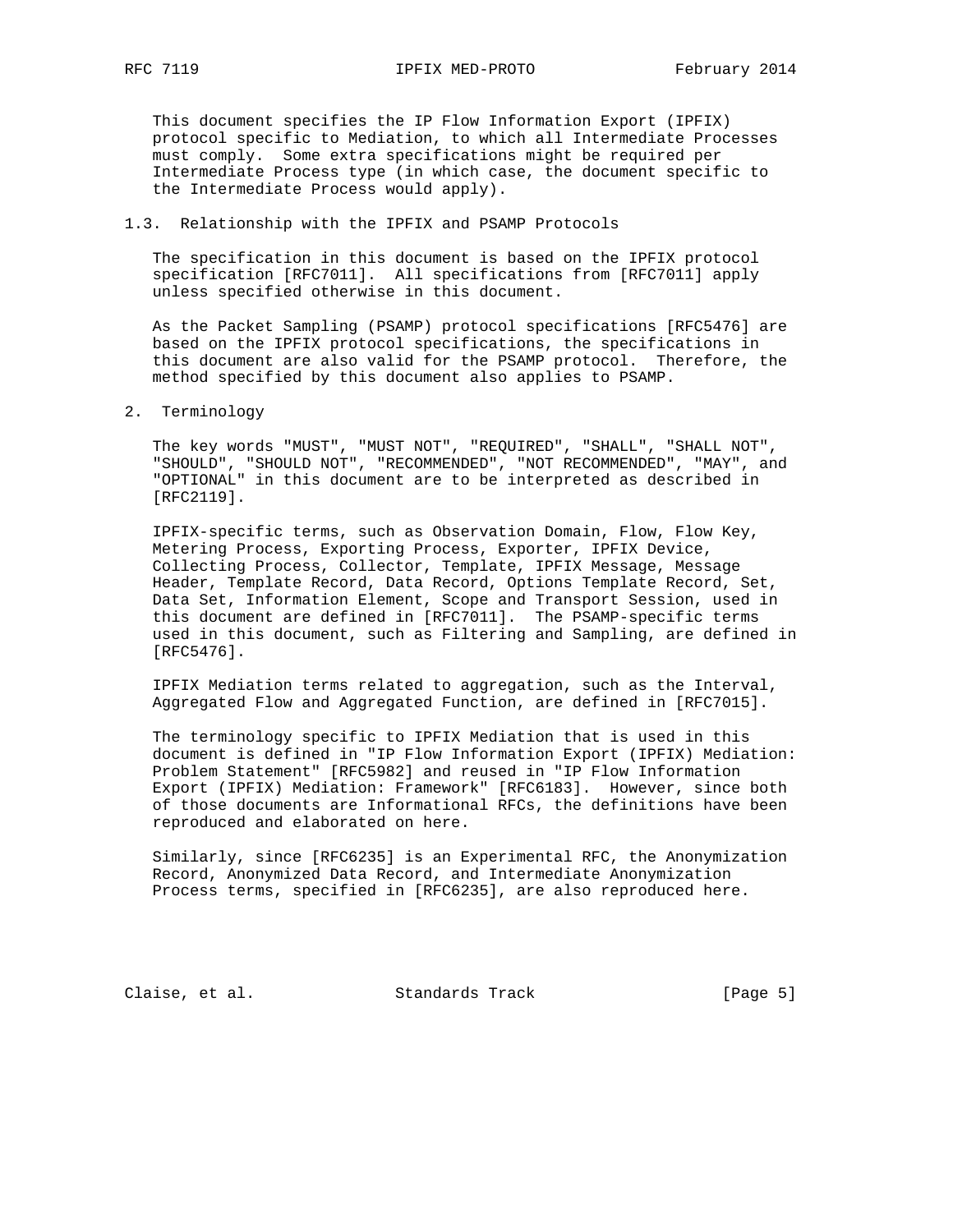This document specifies the IP Flow Information Export (IPFIX) protocol specific to Mediation, to which all Intermediate Processes must comply. Some extra specifications might be required per Intermediate Process type (in which case, the document specific to the Intermediate Process would apply).

## 1.3. Relationship with the IPFIX and PSAMP Protocols

 The specification in this document is based on the IPFIX protocol specification [RFC7011]. All specifications from [RFC7011] apply unless specified otherwise in this document.

 As the Packet Sampling (PSAMP) protocol specifications [RFC5476] are based on the IPFIX protocol specifications, the specifications in this document are also valid for the PSAMP protocol. Therefore, the method specified by this document also applies to PSAMP.

#### 2. Terminology

 The key words "MUST", "MUST NOT", "REQUIRED", "SHALL", "SHALL NOT", "SHOULD", "SHOULD NOT", "RECOMMENDED", "NOT RECOMMENDED", "MAY", and "OPTIONAL" in this document are to be interpreted as described in [RFC2119].

 IPFIX-specific terms, such as Observation Domain, Flow, Flow Key, Metering Process, Exporting Process, Exporter, IPFIX Device, Collecting Process, Collector, Template, IPFIX Message, Message Header, Template Record, Data Record, Options Template Record, Set, Data Set, Information Element, Scope and Transport Session, used in this document are defined in [RFC7011]. The PSAMP-specific terms used in this document, such as Filtering and Sampling, are defined in [RFC5476].

 IPFIX Mediation terms related to aggregation, such as the Interval, Aggregated Flow and Aggregated Function, are defined in [RFC7015].

 The terminology specific to IPFIX Mediation that is used in this document is defined in "IP Flow Information Export (IPFIX) Mediation: Problem Statement" [RFC5982] and reused in "IP Flow Information Export (IPFIX) Mediation: Framework" [RFC6183]. However, since both of those documents are Informational RFCs, the definitions have been reproduced and elaborated on here.

 Similarly, since [RFC6235] is an Experimental RFC, the Anonymization Record, Anonymized Data Record, and Intermediate Anonymization Process terms, specified in [RFC6235], are also reproduced here.

Claise, et al. Standards Track [Page 5]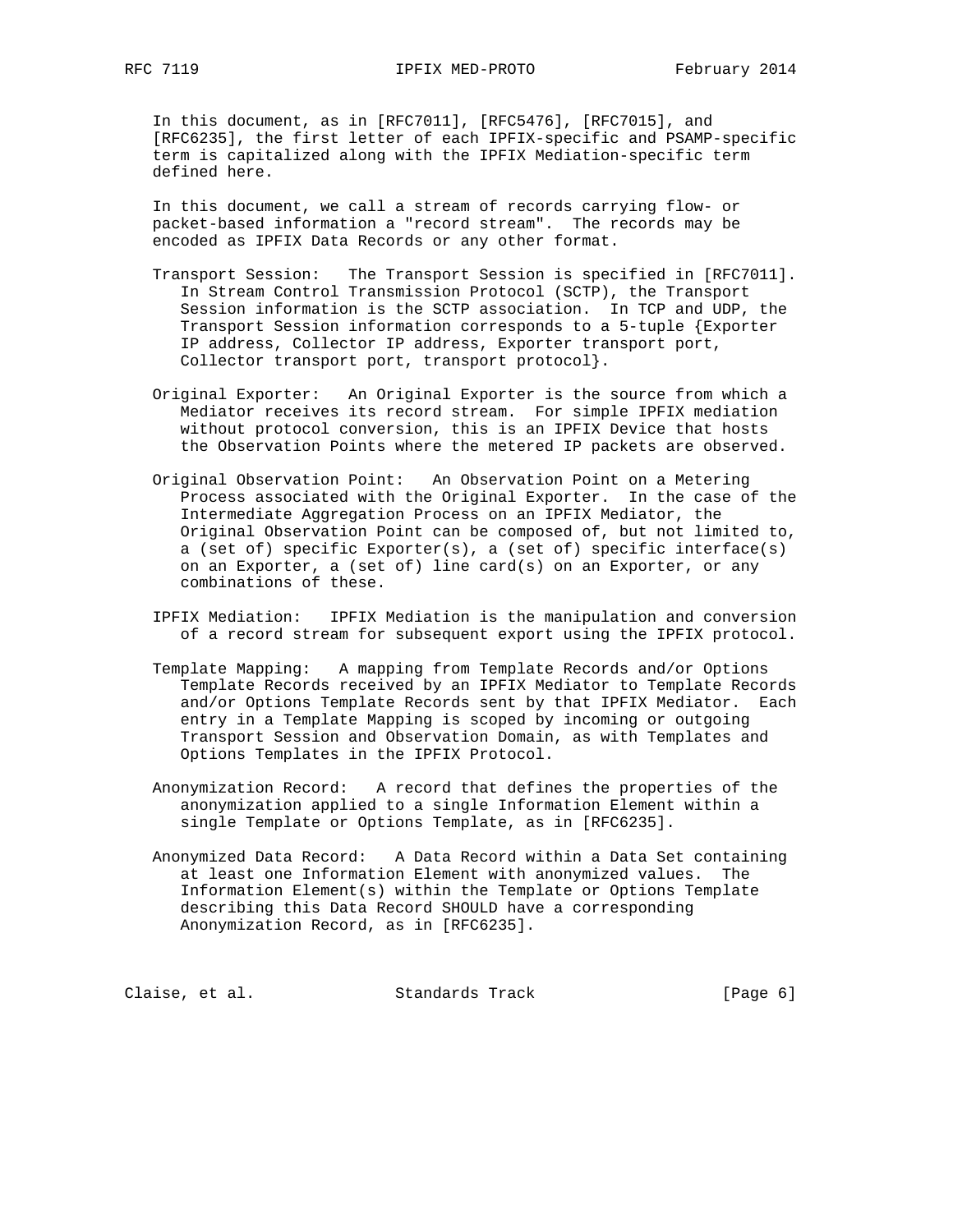In this document, as in [RFC7011], [RFC5476], [RFC7015], and [RFC6235], the first letter of each IPFIX-specific and PSAMP-specific term is capitalized along with the IPFIX Mediation-specific term defined here.

 In this document, we call a stream of records carrying flow- or packet-based information a "record stream". The records may be encoded as IPFIX Data Records or any other format.

- Transport Session: The Transport Session is specified in [RFC7011]. In Stream Control Transmission Protocol (SCTP), the Transport Session information is the SCTP association. In TCP and UDP, the Transport Session information corresponds to a 5-tuple {Exporter IP address, Collector IP address, Exporter transport port, Collector transport port, transport protocol}.
- Original Exporter: An Original Exporter is the source from which a Mediator receives its record stream. For simple IPFIX mediation without protocol conversion, this is an IPFIX Device that hosts the Observation Points where the metered IP packets are observed.
- Original Observation Point: An Observation Point on a Metering Process associated with the Original Exporter. In the case of the Intermediate Aggregation Process on an IPFIX Mediator, the Original Observation Point can be composed of, but not limited to, a (set of) specific Exporter(s), a (set of) specific interface(s) on an Exporter, a (set of) line card(s) on an Exporter, or any combinations of these.
- IPFIX Mediation: IPFIX Mediation is the manipulation and conversion of a record stream for subsequent export using the IPFIX protocol.
- Template Mapping: A mapping from Template Records and/or Options Template Records received by an IPFIX Mediator to Template Records and/or Options Template Records sent by that IPFIX Mediator. Each entry in a Template Mapping is scoped by incoming or outgoing Transport Session and Observation Domain, as with Templates and Options Templates in the IPFIX Protocol.
- Anonymization Record: A record that defines the properties of the anonymization applied to a single Information Element within a single Template or Options Template, as in [RFC6235].
- Anonymized Data Record: A Data Record within a Data Set containing at least one Information Element with anonymized values. The Information Element(s) within the Template or Options Template describing this Data Record SHOULD have a corresponding Anonymization Record, as in [RFC6235].

| [Page 6]<br>Claise, et al.<br>Standards Track |  |  |  |
|-----------------------------------------------|--|--|--|
|-----------------------------------------------|--|--|--|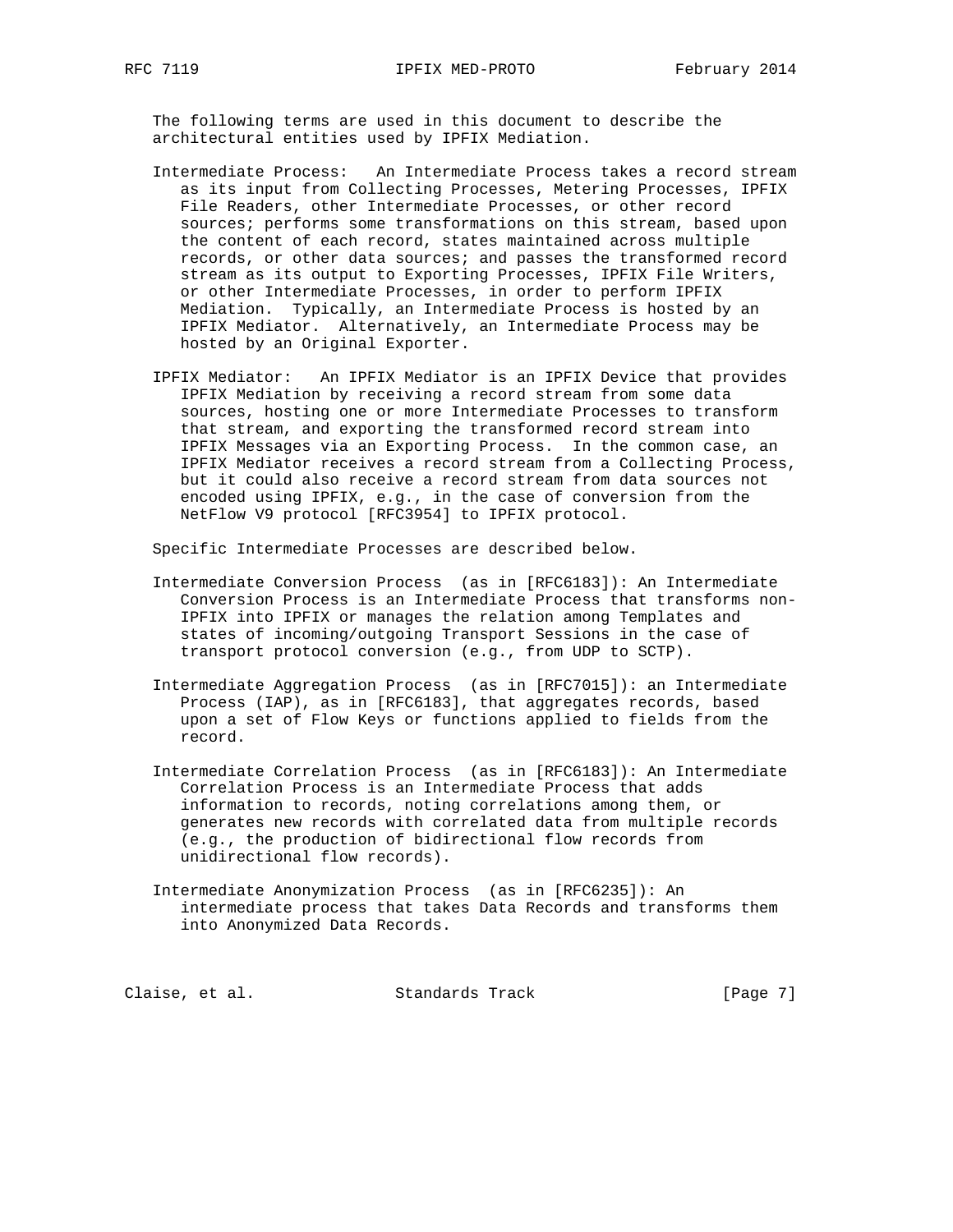The following terms are used in this document to describe the architectural entities used by IPFIX Mediation.

- Intermediate Process: An Intermediate Process takes a record stream as its input from Collecting Processes, Metering Processes, IPFIX File Readers, other Intermediate Processes, or other record sources; performs some transformations on this stream, based upon the content of each record, states maintained across multiple records, or other data sources; and passes the transformed record stream as its output to Exporting Processes, IPFIX File Writers, or other Intermediate Processes, in order to perform IPFIX Mediation. Typically, an Intermediate Process is hosted by an IPFIX Mediator. Alternatively, an Intermediate Process may be hosted by an Original Exporter.
- IPFIX Mediator: An IPFIX Mediator is an IPFIX Device that provides IPFIX Mediation by receiving a record stream from some data sources, hosting one or more Intermediate Processes to transform that stream, and exporting the transformed record stream into IPFIX Messages via an Exporting Process. In the common case, an IPFIX Mediator receives a record stream from a Collecting Process, but it could also receive a record stream from data sources not encoded using IPFIX, e.g., in the case of conversion from the NetFlow V9 protocol [RFC3954] to IPFIX protocol.

Specific Intermediate Processes are described below.

- Intermediate Conversion Process (as in [RFC6183]): An Intermediate Conversion Process is an Intermediate Process that transforms non- IPFIX into IPFIX or manages the relation among Templates and states of incoming/outgoing Transport Sessions in the case of transport protocol conversion (e.g., from UDP to SCTP).
- Intermediate Aggregation Process (as in [RFC7015]): an Intermediate Process (IAP), as in [RFC6183], that aggregates records, based upon a set of Flow Keys or functions applied to fields from the record.
- Intermediate Correlation Process (as in [RFC6183]): An Intermediate Correlation Process is an Intermediate Process that adds information to records, noting correlations among them, or generates new records with correlated data from multiple records (e.g., the production of bidirectional flow records from unidirectional flow records).
- Intermediate Anonymization Process (as in [RFC6235]): An intermediate process that takes Data Records and transforms them into Anonymized Data Records.

Claise, et al. Standards Track [Page 7]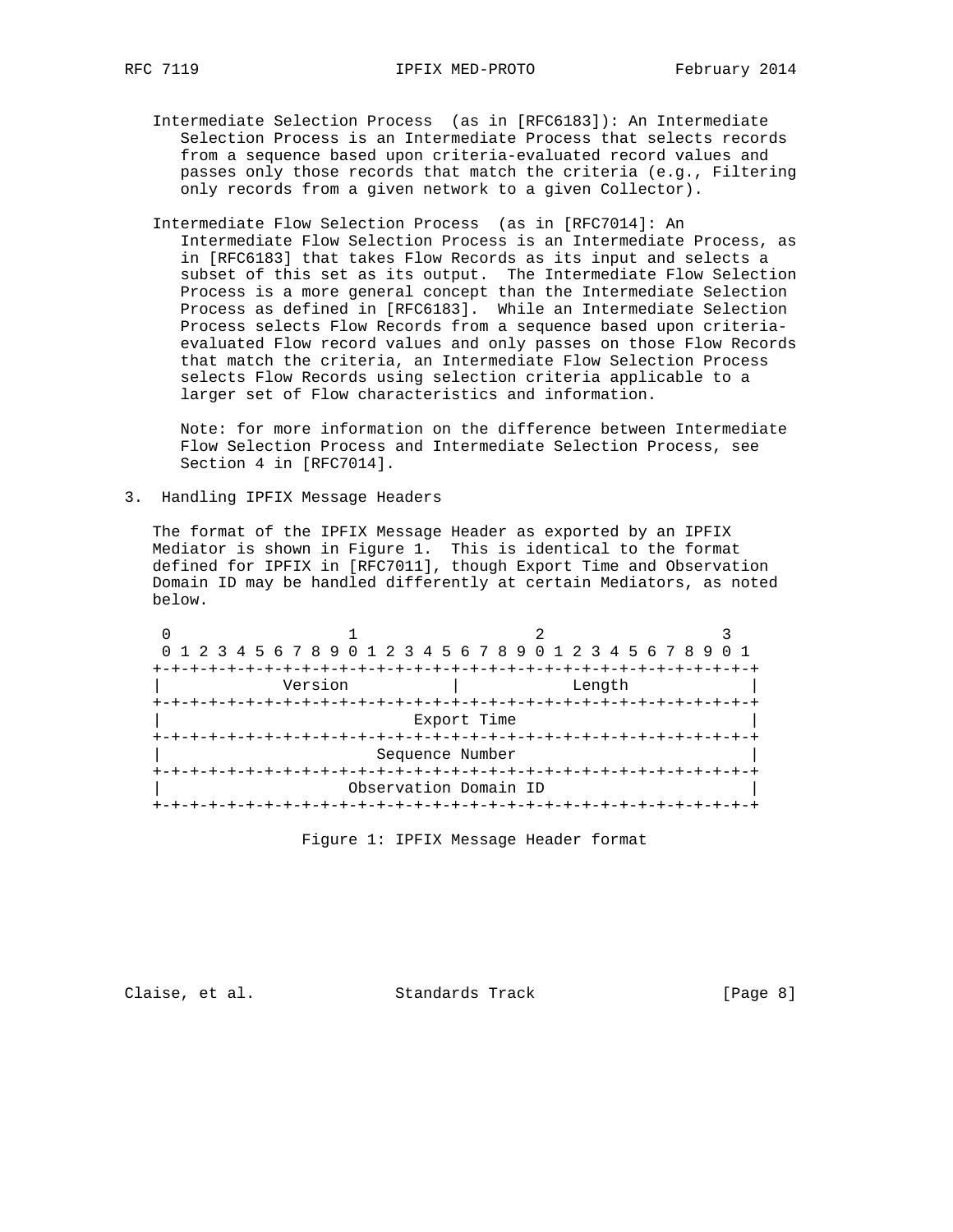- Intermediate Selection Process (as in [RFC6183]): An Intermediate Selection Process is an Intermediate Process that selects records from a sequence based upon criteria-evaluated record values and passes only those records that match the criteria (e.g., Filtering only records from a given network to a given Collector).
- Intermediate Flow Selection Process (as in [RFC7014]: An Intermediate Flow Selection Process is an Intermediate Process, as in [RFC6183] that takes Flow Records as its input and selects a subset of this set as its output. The Intermediate Flow Selection Process is a more general concept than the Intermediate Selection Process as defined in [RFC6183]. While an Intermediate Selection Process selects Flow Records from a sequence based upon criteria evaluated Flow record values and only passes on those Flow Records that match the criteria, an Intermediate Flow Selection Process selects Flow Records using selection criteria applicable to a larger set of Flow characteristics and information.

 Note: for more information on the difference between Intermediate Flow Selection Process and Intermediate Selection Process, see Section 4 in [RFC7014].

3. Handling IPFIX Message Headers

 The format of the IPFIX Message Header as exported by an IPFIX Mediator is shown in Figure 1. This is identical to the format defined for IPFIX in [RFC7011], though Export Time and Observation Domain ID may be handled differently at certain Mediators, as noted below.

| 0 1 2 3 4 5 6 7 8 9 0 1 2 3 4 5 6 7 8 9 0 1 2 3 4 5 6 7 8 9 0 1 |                       |        |  |
|-----------------------------------------------------------------|-----------------------|--------|--|
|                                                                 |                       |        |  |
| Version                                                         |                       | Length |  |
|                                                                 |                       |        |  |
|                                                                 | Export Time           |        |  |
|                                                                 |                       |        |  |
|                                                                 | Sequence Number       |        |  |
|                                                                 |                       |        |  |
|                                                                 | Observation Domain ID |        |  |
|                                                                 |                       |        |  |

Figure 1: IPFIX Message Header format

Claise, et al. Standards Track [Page 8]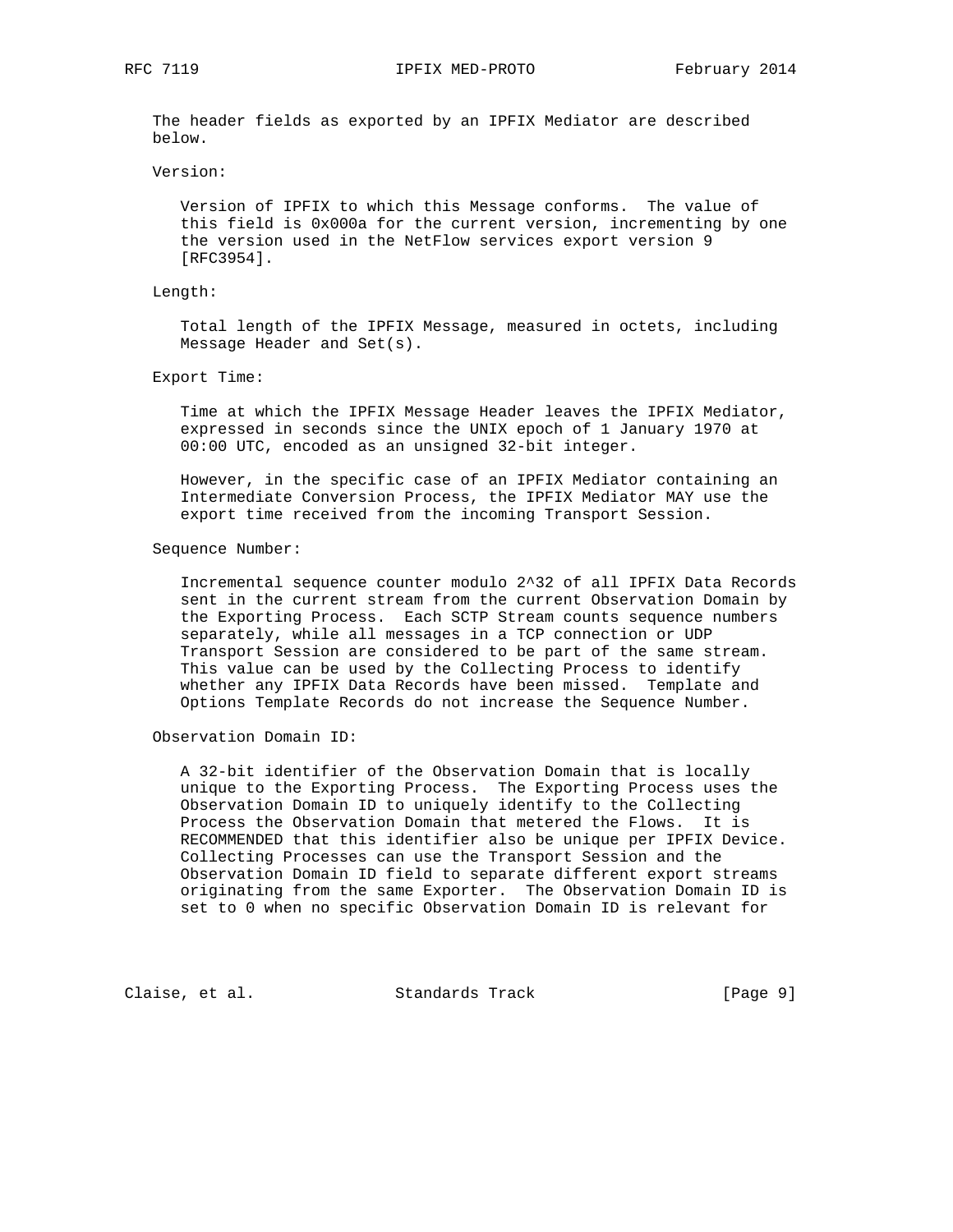RFC 7119 IPFIX MED-PROTO February 2014

 The header fields as exported by an IPFIX Mediator are described below.

#### Version:

 Version of IPFIX to which this Message conforms. The value of this field is 0x000a for the current version, incrementing by one the version used in the NetFlow services export version 9 [RFC3954].

### Length:

 Total length of the IPFIX Message, measured in octets, including Message Header and Set(s).

### Export Time:

 Time at which the IPFIX Message Header leaves the IPFIX Mediator, expressed in seconds since the UNIX epoch of 1 January 1970 at 00:00 UTC, encoded as an unsigned 32-bit integer.

 However, in the specific case of an IPFIX Mediator containing an Intermediate Conversion Process, the IPFIX Mediator MAY use the export time received from the incoming Transport Session.

#### Sequence Number:

 Incremental sequence counter modulo 2^32 of all IPFIX Data Records sent in the current stream from the current Observation Domain by the Exporting Process. Each SCTP Stream counts sequence numbers separately, while all messages in a TCP connection or UDP Transport Session are considered to be part of the same stream. This value can be used by the Collecting Process to identify whether any IPFIX Data Records have been missed. Template and Options Template Records do not increase the Sequence Number.

# Observation Domain ID:

 A 32-bit identifier of the Observation Domain that is locally unique to the Exporting Process. The Exporting Process uses the Observation Domain ID to uniquely identify to the Collecting Process the Observation Domain that metered the Flows. It is RECOMMENDED that this identifier also be unique per IPFIX Device. Collecting Processes can use the Transport Session and the Observation Domain ID field to separate different export streams originating from the same Exporter. The Observation Domain ID is set to 0 when no specific Observation Domain ID is relevant for

Claise, et al. Standards Track [Page 9]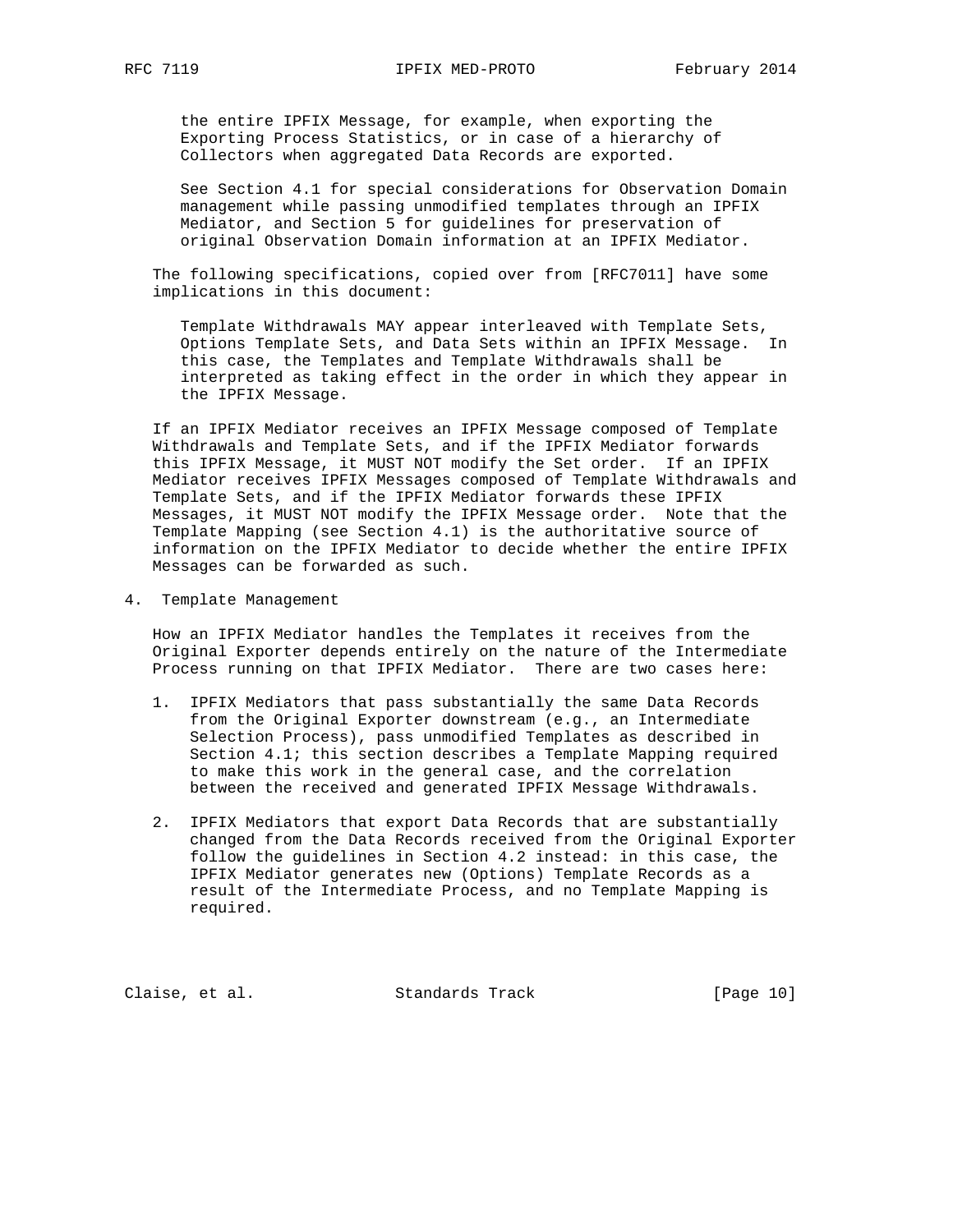the entire IPFIX Message, for example, when exporting the Exporting Process Statistics, or in case of a hierarchy of Collectors when aggregated Data Records are exported.

 See Section 4.1 for special considerations for Observation Domain management while passing unmodified templates through an IPFIX Mediator, and Section 5 for guidelines for preservation of original Observation Domain information at an IPFIX Mediator.

 The following specifications, copied over from [RFC7011] have some implications in this document:

 Template Withdrawals MAY appear interleaved with Template Sets, Options Template Sets, and Data Sets within an IPFIX Message. In this case, the Templates and Template Withdrawals shall be interpreted as taking effect in the order in which they appear in the IPFIX Message.

 If an IPFIX Mediator receives an IPFIX Message composed of Template Withdrawals and Template Sets, and if the IPFIX Mediator forwards this IPFIX Message, it MUST NOT modify the Set order. If an IPFIX Mediator receives IPFIX Messages composed of Template Withdrawals and Template Sets, and if the IPFIX Mediator forwards these IPFIX Messages, it MUST NOT modify the IPFIX Message order. Note that the Template Mapping (see Section 4.1) is the authoritative source of information on the IPFIX Mediator to decide whether the entire IPFIX Messages can be forwarded as such.

4. Template Management

 How an IPFIX Mediator handles the Templates it receives from the Original Exporter depends entirely on the nature of the Intermediate Process running on that IPFIX Mediator. There are two cases here:

- 1. IPFIX Mediators that pass substantially the same Data Records from the Original Exporter downstream (e.g., an Intermediate Selection Process), pass unmodified Templates as described in Section 4.1; this section describes a Template Mapping required to make this work in the general case, and the correlation between the received and generated IPFIX Message Withdrawals.
- 2. IPFIX Mediators that export Data Records that are substantially changed from the Data Records received from the Original Exporter follow the guidelines in Section 4.2 instead: in this case, the IPFIX Mediator generates new (Options) Template Records as a result of the Intermediate Process, and no Template Mapping is required.

Claise, et al. Standards Track [Page 10]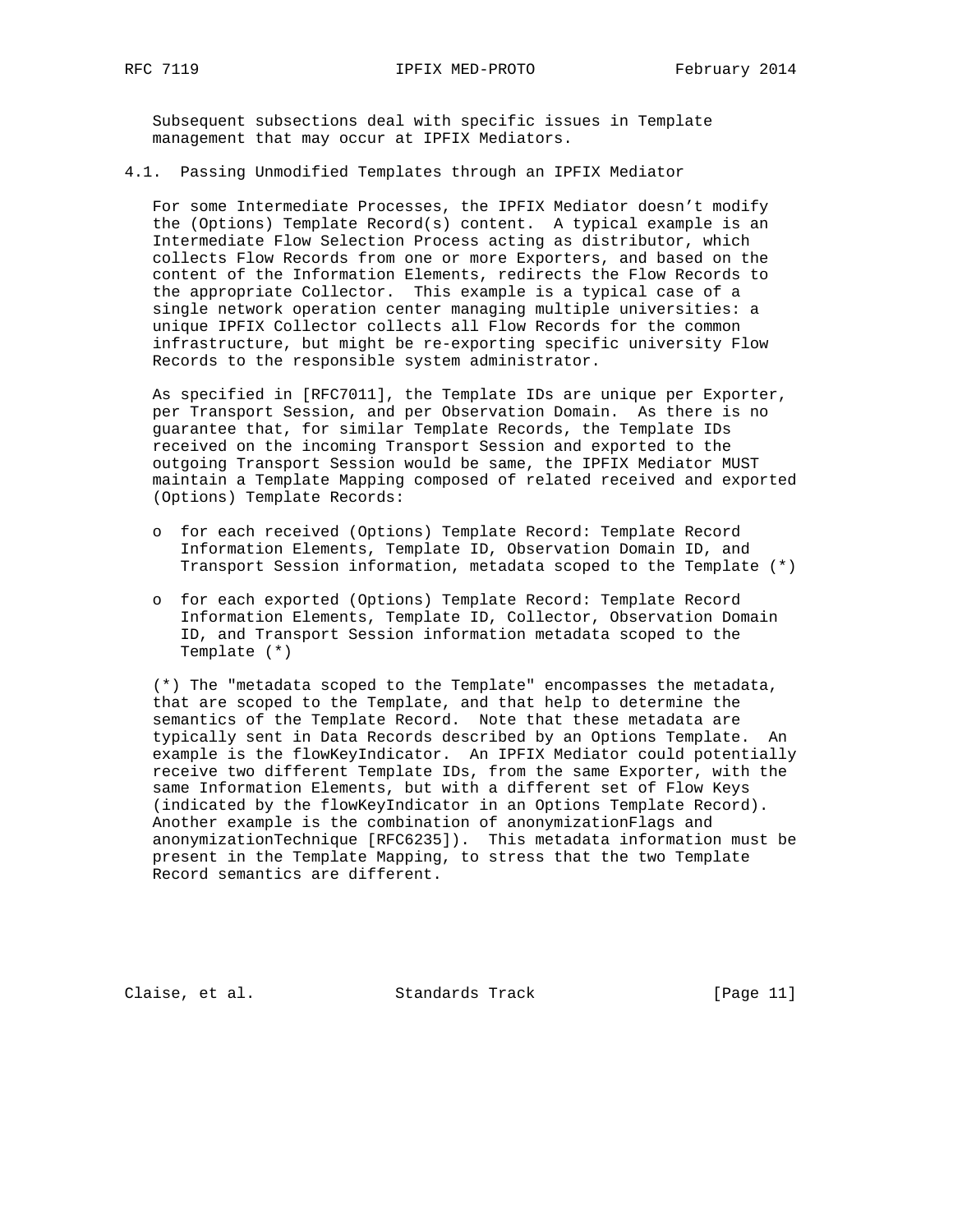Subsequent subsections deal with specific issues in Template management that may occur at IPFIX Mediators.

4.1. Passing Unmodified Templates through an IPFIX Mediator

 For some Intermediate Processes, the IPFIX Mediator doesn't modify the (Options) Template Record(s) content. A typical example is an Intermediate Flow Selection Process acting as distributor, which collects Flow Records from one or more Exporters, and based on the content of the Information Elements, redirects the Flow Records to the appropriate Collector. This example is a typical case of a single network operation center managing multiple universities: a unique IPFIX Collector collects all Flow Records for the common infrastructure, but might be re-exporting specific university Flow Records to the responsible system administrator.

 As specified in [RFC7011], the Template IDs are unique per Exporter, per Transport Session, and per Observation Domain. As there is no guarantee that, for similar Template Records, the Template IDs received on the incoming Transport Session and exported to the outgoing Transport Session would be same, the IPFIX Mediator MUST maintain a Template Mapping composed of related received and exported (Options) Template Records:

- o for each received (Options) Template Record: Template Record Information Elements, Template ID, Observation Domain ID, and Transport Session information, metadata scoped to the Template (\*)
- o for each exported (Options) Template Record: Template Record Information Elements, Template ID, Collector, Observation Domain ID, and Transport Session information metadata scoped to the Template (\*)

 (\*) The "metadata scoped to the Template" encompasses the metadata, that are scoped to the Template, and that help to determine the semantics of the Template Record. Note that these metadata are typically sent in Data Records described by an Options Template. An example is the flowKeyIndicator. An IPFIX Mediator could potentially receive two different Template IDs, from the same Exporter, with the same Information Elements, but with a different set of Flow Keys (indicated by the flowKeyIndicator in an Options Template Record). Another example is the combination of anonymizationFlags and anonymizationTechnique [RFC6235]). This metadata information must be present in the Template Mapping, to stress that the two Template Record semantics are different.

Claise, et al. Standards Track [Page 11]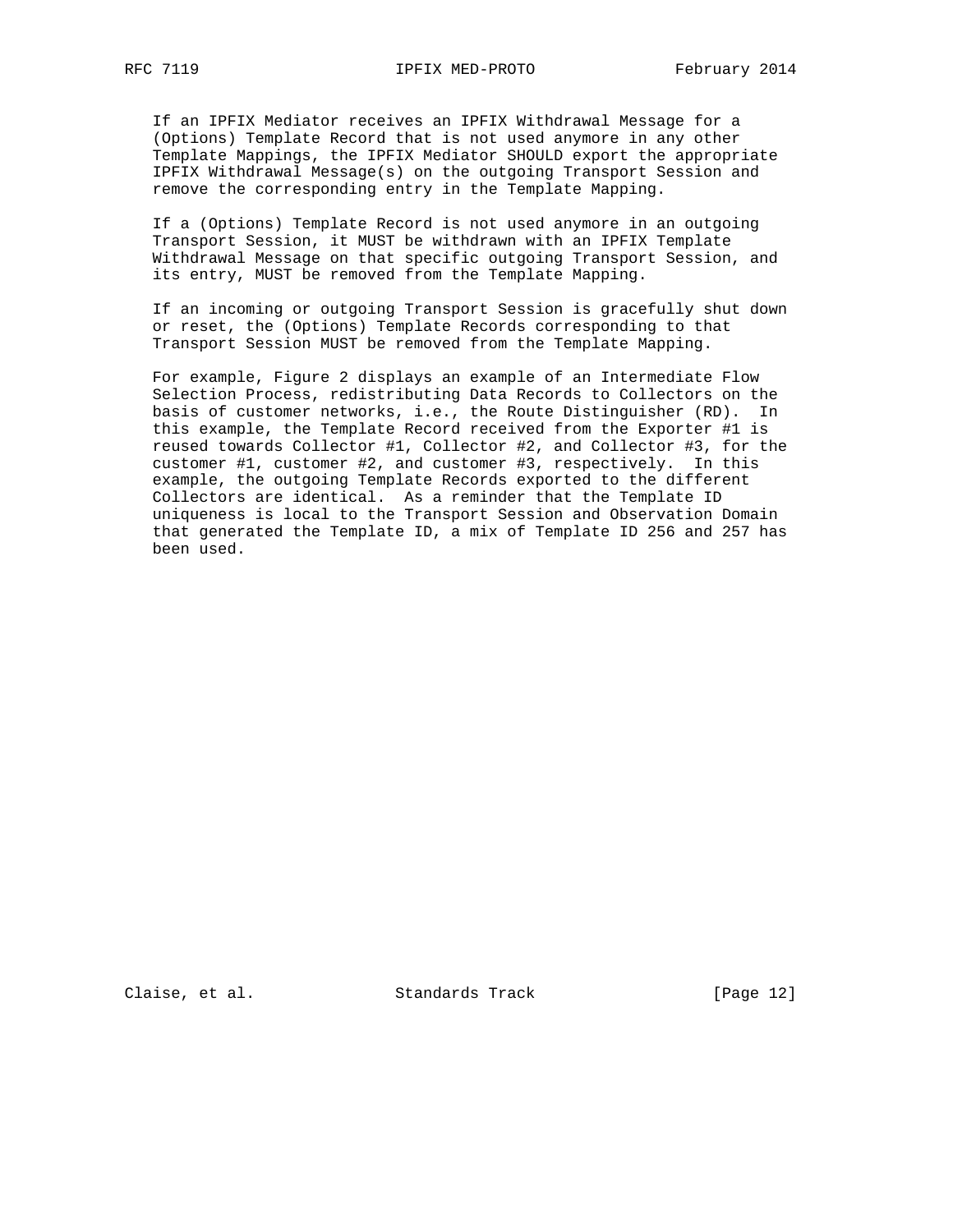If an IPFIX Mediator receives an IPFIX Withdrawal Message for a (Options) Template Record that is not used anymore in any other Template Mappings, the IPFIX Mediator SHOULD export the appropriate IPFIX Withdrawal Message(s) on the outgoing Transport Session and remove the corresponding entry in the Template Mapping.

 If a (Options) Template Record is not used anymore in an outgoing Transport Session, it MUST be withdrawn with an IPFIX Template Withdrawal Message on that specific outgoing Transport Session, and its entry, MUST be removed from the Template Mapping.

 If an incoming or outgoing Transport Session is gracefully shut down or reset, the (Options) Template Records corresponding to that Transport Session MUST be removed from the Template Mapping.

 For example, Figure 2 displays an example of an Intermediate Flow Selection Process, redistributing Data Records to Collectors on the basis of customer networks, i.e., the Route Distinguisher (RD). In this example, the Template Record received from the Exporter #1 is reused towards Collector #1, Collector #2, and Collector #3, for the customer #1, customer #2, and customer #3, respectively. In this example, the outgoing Template Records exported to the different Collectors are identical. As a reminder that the Template ID uniqueness is local to the Transport Session and Observation Domain that generated the Template ID, a mix of Template ID 256 and 257 has been used.

Claise, et al. Standards Track [Page 12]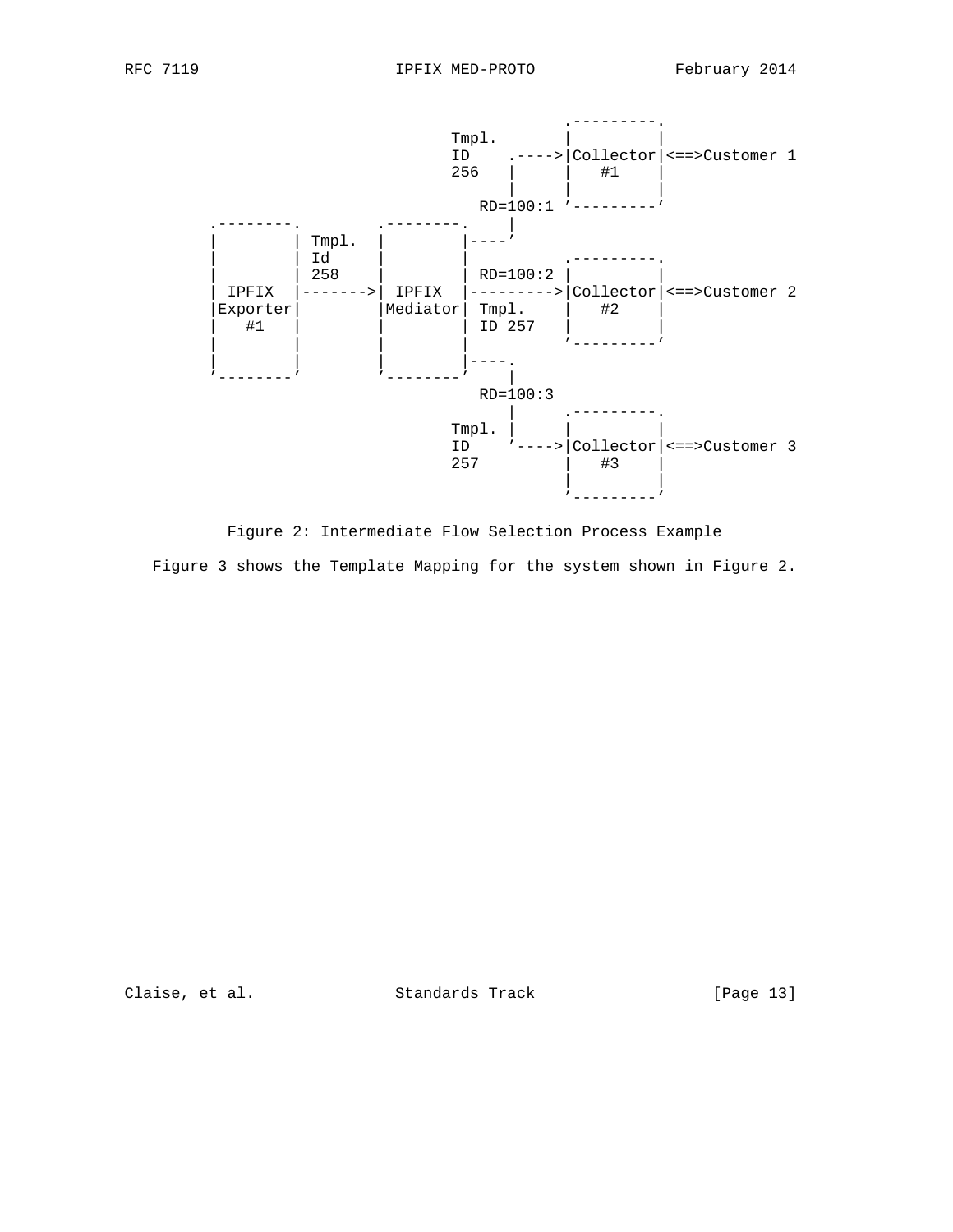

 Figure 2: Intermediate Flow Selection Process Example Figure 3 shows the Template Mapping for the system shown in Figure 2.

Claise, et al. Standards Track [Page 13]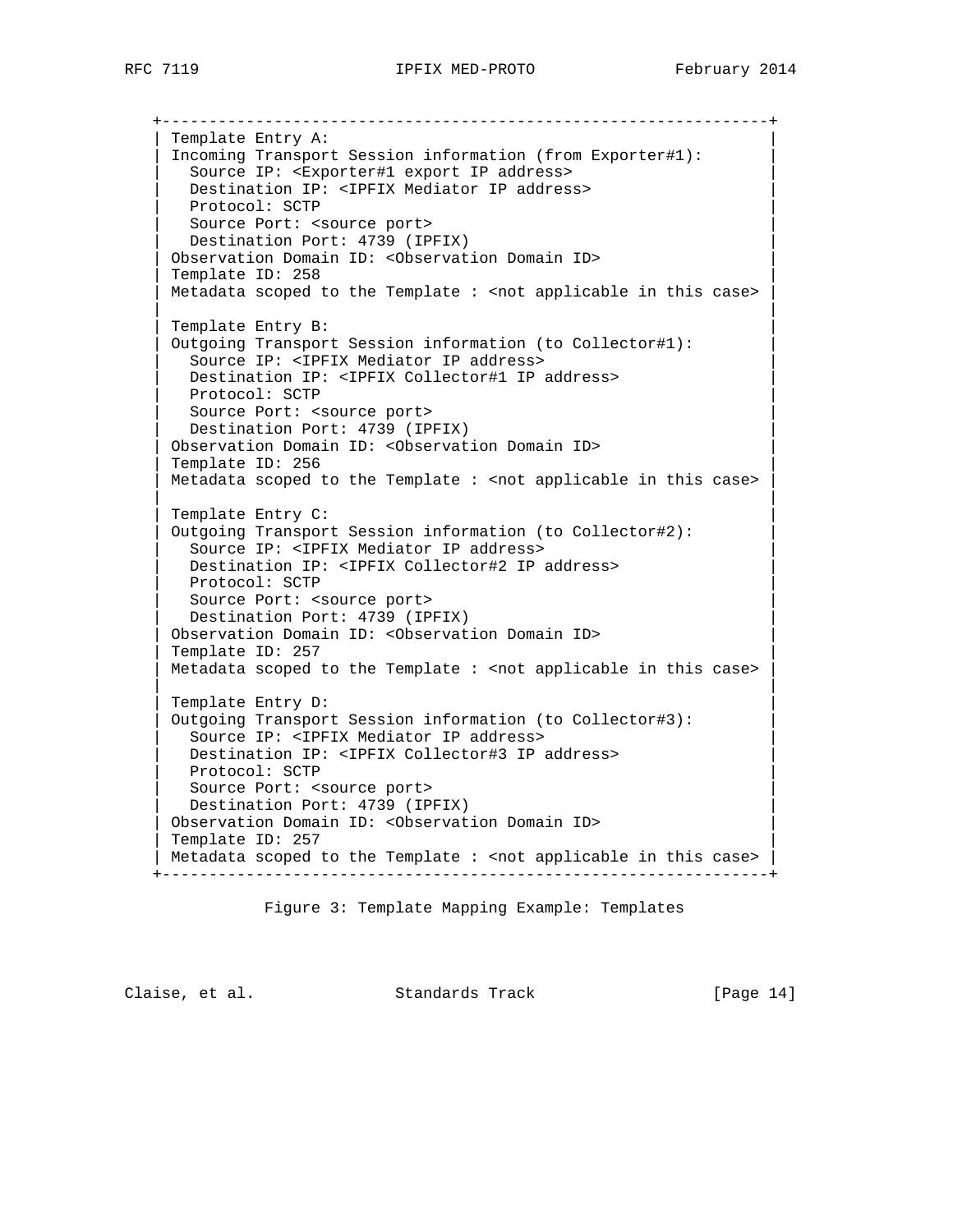+-----------------------------------------------------------------+

Template Entry A: | Incoming Transport Session information (from Exporter#1): | Source IP: <Exporter#1 export IP address> Destination IP: <IPFIX Mediator IP address> Protocol: SCTP Source Port: < source port> Destination Port: 4739 (IPFIX) | Observation Domain ID: <Observation Domain ID> | Template ID: 258 Metadata scoped to the Template : < not applicable in this case> | | Template Entry B: | Outgoing Transport Session information (to Collector#1): | Source IP: <IPFIX Mediator IP address> Destination IP: <IPFIX Collector#1 IP address> Protocol: SCTP Source Port: < source port> Destination Port: 4739 (IPFIX) | Observation Domain ID: <Observation Domain ID> | Template ID: 256 Metadata scoped to the Template : < not applicable in this case> | | Template Entry C: Outgoing Transport Session information (to Collector#2): Source IP: <IPFIX Mediator IP address> Destination IP: <IPFIX Collector#2 IP address> Protocol: SCTP Source Port: < source port> Destination Port: 4739 (IPFIX) Observation Domain ID: < Observation Domain ID> Template ID: 257  $Metadata$  scoped to the Template : < not applicable in this case> | | Template Entry D: Outgoing Transport Session information (to Collector#3): Source IP: <IPFIX Mediator IP address> Destination IP: <IPFIX Collector#3 IP address> Protocol: SCTP Source Port: < source port> Destination Port: 4739 (IPFIX) Observation Domain ID: < Observation Domain ID> Template ID: 257 | Metadata scoped to the Template : <not applicable in this case> +-----------------------------------------------------------------+

Figure 3: Template Mapping Example: Templates

Claise, et al. Standards Track [Page 14]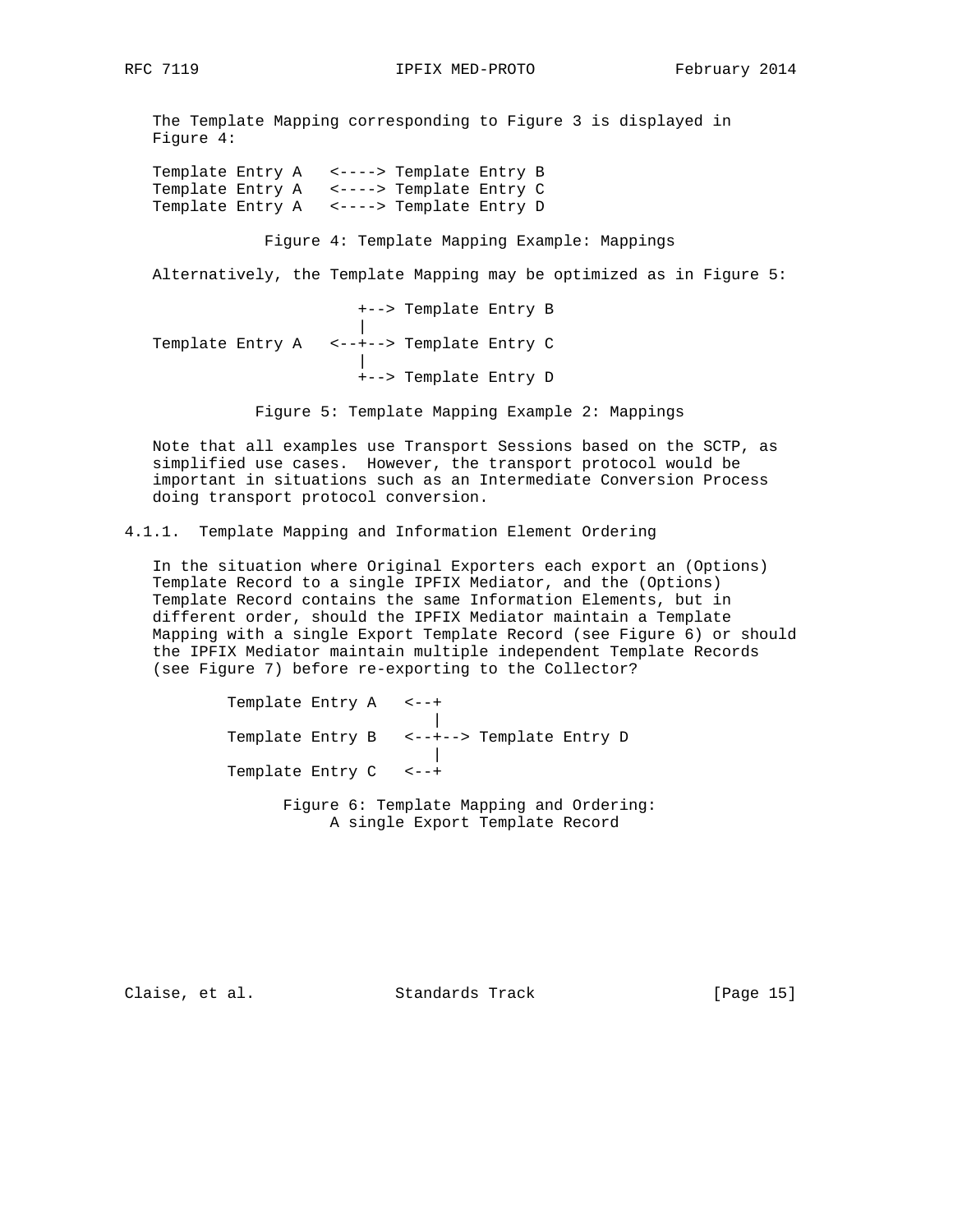The Template Mapping corresponding to Figure 3 is displayed in Figure 4:

 Template Entry A <----> Template Entry B Template Entry A <----> Template Entry C Template Entry A <----> Template Entry D

Figure 4: Template Mapping Example: Mappings

Alternatively, the Template Mapping may be optimized as in Figure 5:

 +--> Template Entry B | Template Entry A <--+--> Template Entry C | +--> Template Entry D

Figure 5: Template Mapping Example 2: Mappings

 Note that all examples use Transport Sessions based on the SCTP, as simplified use cases. However, the transport protocol would be important in situations such as an Intermediate Conversion Process doing transport protocol conversion.

4.1.1. Template Mapping and Information Element Ordering

 In the situation where Original Exporters each export an (Options) Template Record to a single IPFIX Mediator, and the (Options) Template Record contains the same Information Elements, but in different order, should the IPFIX Mediator maintain a Template Mapping with a single Export Template Record (see Figure 6) or should the IPFIX Mediator maintain multiple independent Template Records (see Figure 7) before re-exporting to the Collector?

 Template Entry A <--+ | Template Entry B <--+--> Template Entry D | Template Entry C <--+

> Figure 6: Template Mapping and Ordering: A single Export Template Record

Claise, et al. Standards Track [Page 15]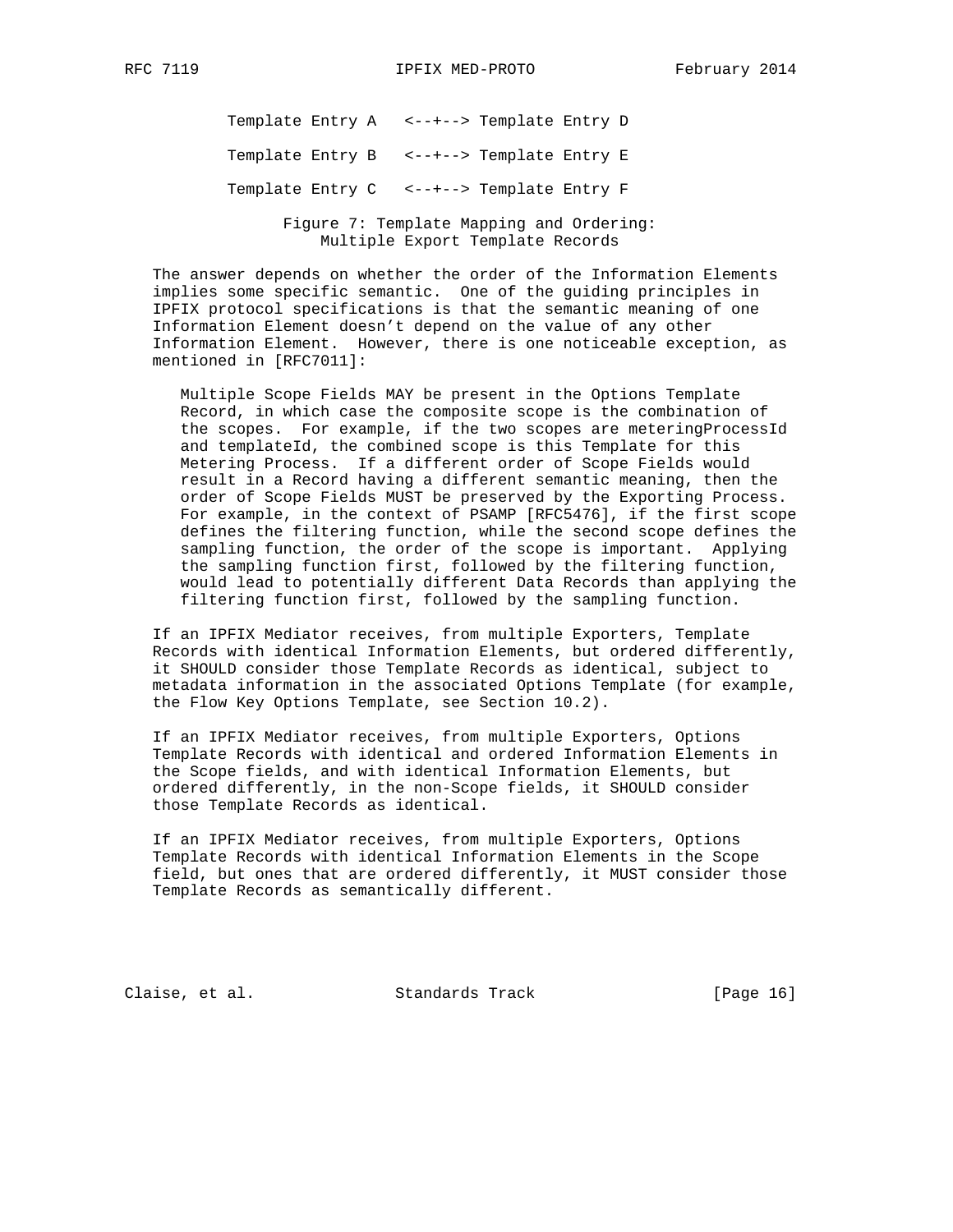Template Entry A <--+--> Template Entry D

Template Entry B <--+--> Template Entry E

Template Entry C <--+--> Template Entry F

 Figure 7: Template Mapping and Ordering: Multiple Export Template Records

 The answer depends on whether the order of the Information Elements implies some specific semantic. One of the guiding principles in IPFIX protocol specifications is that the semantic meaning of one Information Element doesn't depend on the value of any other Information Element. However, there is one noticeable exception, as mentioned in [RFC7011]:

 Multiple Scope Fields MAY be present in the Options Template Record, in which case the composite scope is the combination of the scopes. For example, if the two scopes are meteringProcessId and templateId, the combined scope is this Template for this Metering Process. If a different order of Scope Fields would result in a Record having a different semantic meaning, then the order of Scope Fields MUST be preserved by the Exporting Process. For example, in the context of PSAMP [RFC5476], if the first scope defines the filtering function, while the second scope defines the sampling function, the order of the scope is important. Applying the sampling function first, followed by the filtering function, would lead to potentially different Data Records than applying the filtering function first, followed by the sampling function.

 If an IPFIX Mediator receives, from multiple Exporters, Template Records with identical Information Elements, but ordered differently, it SHOULD consider those Template Records as identical, subject to metadata information in the associated Options Template (for example, the Flow Key Options Template, see Section 10.2).

 If an IPFIX Mediator receives, from multiple Exporters, Options Template Records with identical and ordered Information Elements in the Scope fields, and with identical Information Elements, but ordered differently, in the non-Scope fields, it SHOULD consider those Template Records as identical.

 If an IPFIX Mediator receives, from multiple Exporters, Options Template Records with identical Information Elements in the Scope field, but ones that are ordered differently, it MUST consider those Template Records as semantically different.

Claise, et al. Standards Track [Page 16]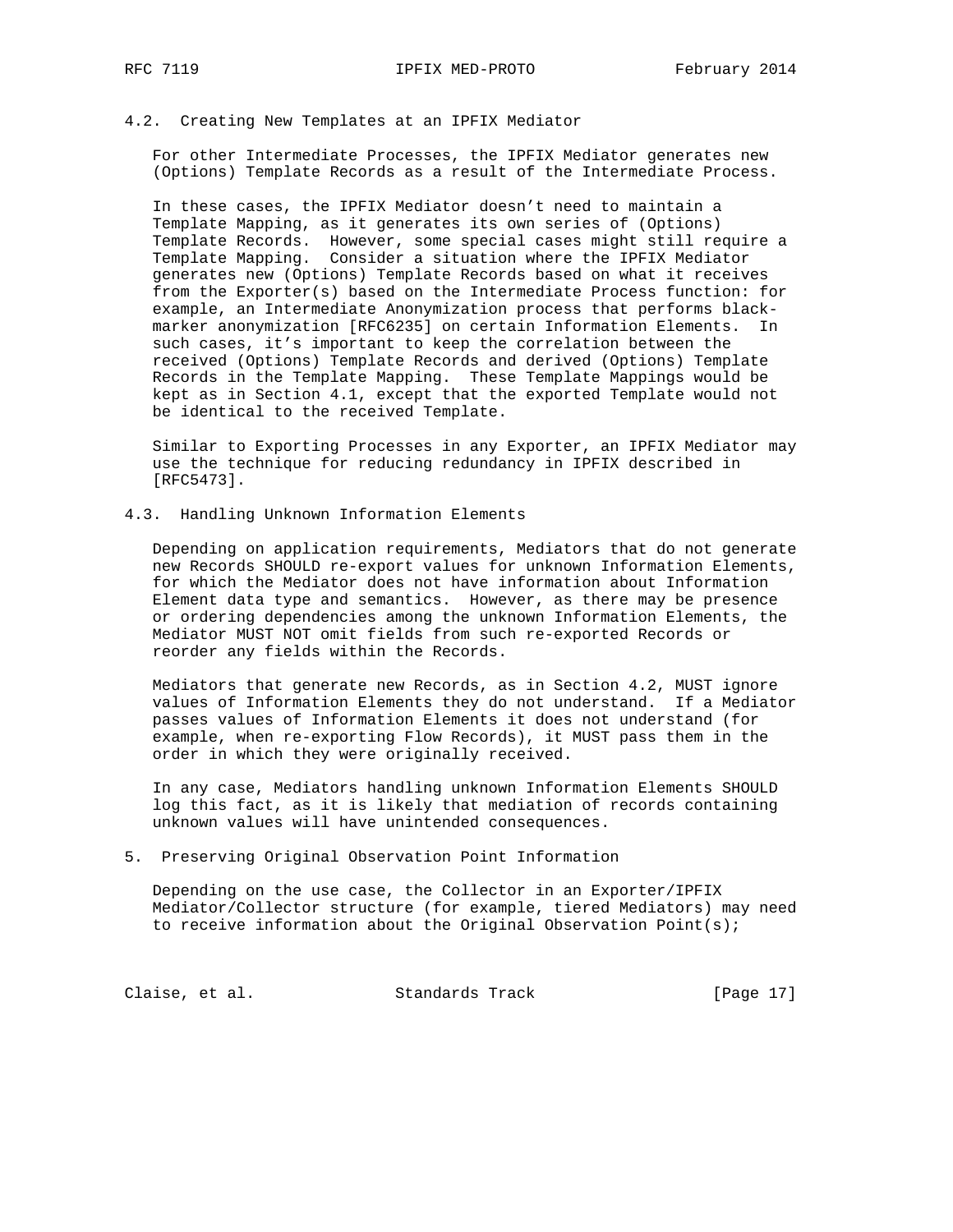#### 4.2. Creating New Templates at an IPFIX Mediator

 For other Intermediate Processes, the IPFIX Mediator generates new (Options) Template Records as a result of the Intermediate Process.

 In these cases, the IPFIX Mediator doesn't need to maintain a Template Mapping, as it generates its own series of (Options) Template Records. However, some special cases might still require a Template Mapping. Consider a situation where the IPFIX Mediator generates new (Options) Template Records based on what it receives from the Exporter(s) based on the Intermediate Process function: for example, an Intermediate Anonymization process that performs black marker anonymization [RFC6235] on certain Information Elements. In such cases, it's important to keep the correlation between the received (Options) Template Records and derived (Options) Template Records in the Template Mapping. These Template Mappings would be kept as in Section 4.1, except that the exported Template would not be identical to the received Template.

 Similar to Exporting Processes in any Exporter, an IPFIX Mediator may use the technique for reducing redundancy in IPFIX described in [RFC5473].

4.3. Handling Unknown Information Elements

 Depending on application requirements, Mediators that do not generate new Records SHOULD re-export values for unknown Information Elements, for which the Mediator does not have information about Information Element data type and semantics. However, as there may be presence or ordering dependencies among the unknown Information Elements, the Mediator MUST NOT omit fields from such re-exported Records or reorder any fields within the Records.

 Mediators that generate new Records, as in Section 4.2, MUST ignore values of Information Elements they do not understand. If a Mediator passes values of Information Elements it does not understand (for example, when re-exporting Flow Records), it MUST pass them in the order in which they were originally received.

 In any case, Mediators handling unknown Information Elements SHOULD log this fact, as it is likely that mediation of records containing unknown values will have unintended consequences.

5. Preserving Original Observation Point Information

 Depending on the use case, the Collector in an Exporter/IPFIX Mediator/Collector structure (for example, tiered Mediators) may need to receive information about the Original Observation Point(s);

Claise, et al. Standards Track [Page 17]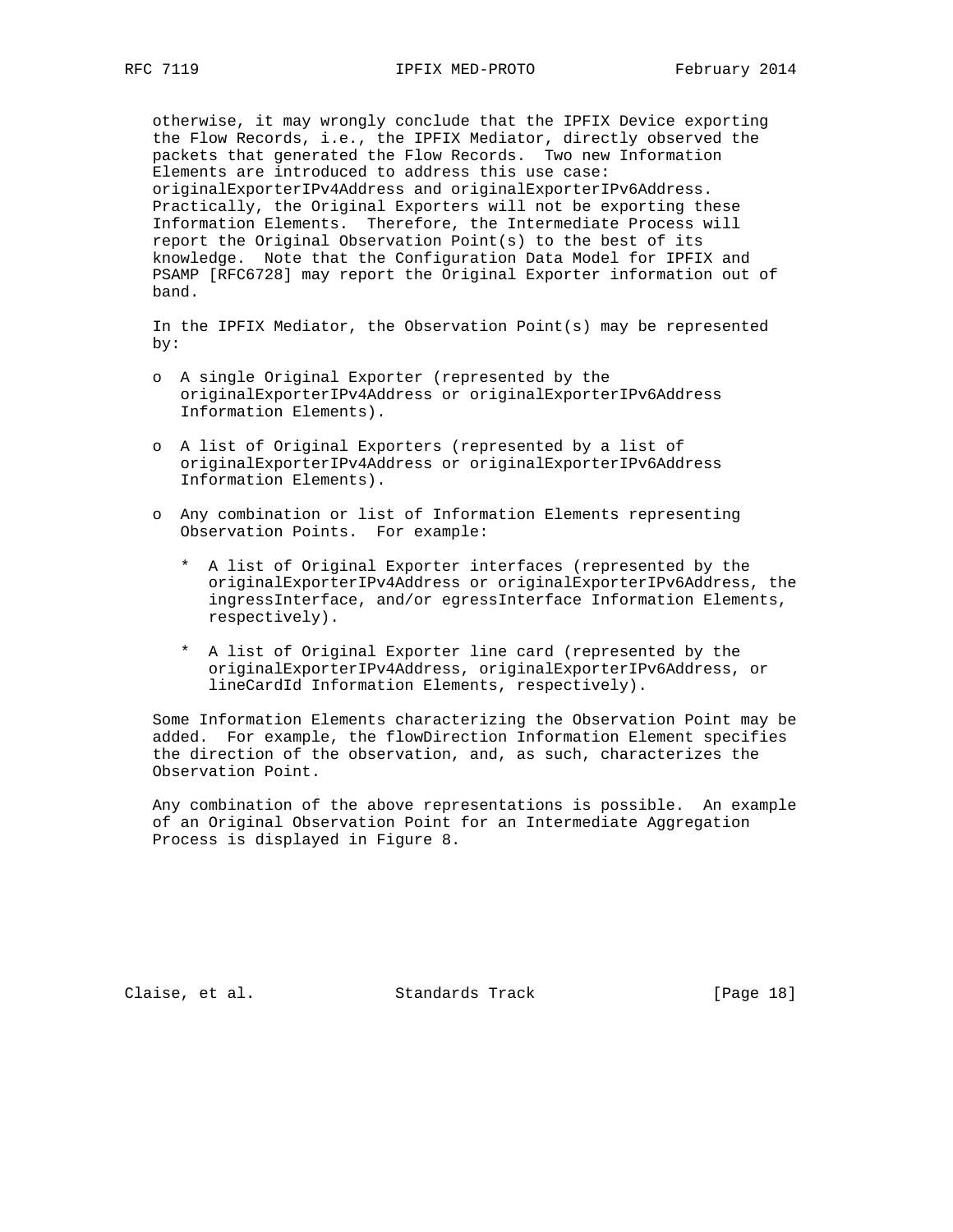otherwise, it may wrongly conclude that the IPFIX Device exporting the Flow Records, i.e., the IPFIX Mediator, directly observed the packets that generated the Flow Records. Two new Information Elements are introduced to address this use case: originalExporterIPv4Address and originalExporterIPv6Address. Practically, the Original Exporters will not be exporting these Information Elements. Therefore, the Intermediate Process will report the Original Observation Point(s) to the best of its knowledge. Note that the Configuration Data Model for IPFIX and PSAMP [RFC6728] may report the Original Exporter information out of band.

 In the IPFIX Mediator, the Observation Point(s) may be represented by:

- o A single Original Exporter (represented by the originalExporterIPv4Address or originalExporterIPv6Address Information Elements).
- o A list of Original Exporters (represented by a list of originalExporterIPv4Address or originalExporterIPv6Address Information Elements).
- o Any combination or list of Information Elements representing Observation Points. For example:
	- \* A list of Original Exporter interfaces (represented by the originalExporterIPv4Address or originalExporterIPv6Address, the ingressInterface, and/or egressInterface Information Elements, respectively).
	- \* A list of Original Exporter line card (represented by the originalExporterIPv4Address, originalExporterIPv6Address, or lineCardId Information Elements, respectively).

 Some Information Elements characterizing the Observation Point may be added. For example, the flowDirection Information Element specifies the direction of the observation, and, as such, characterizes the Observation Point.

 Any combination of the above representations is possible. An example of an Original Observation Point for an Intermediate Aggregation Process is displayed in Figure 8.

Claise, et al. Standards Track [Page 18]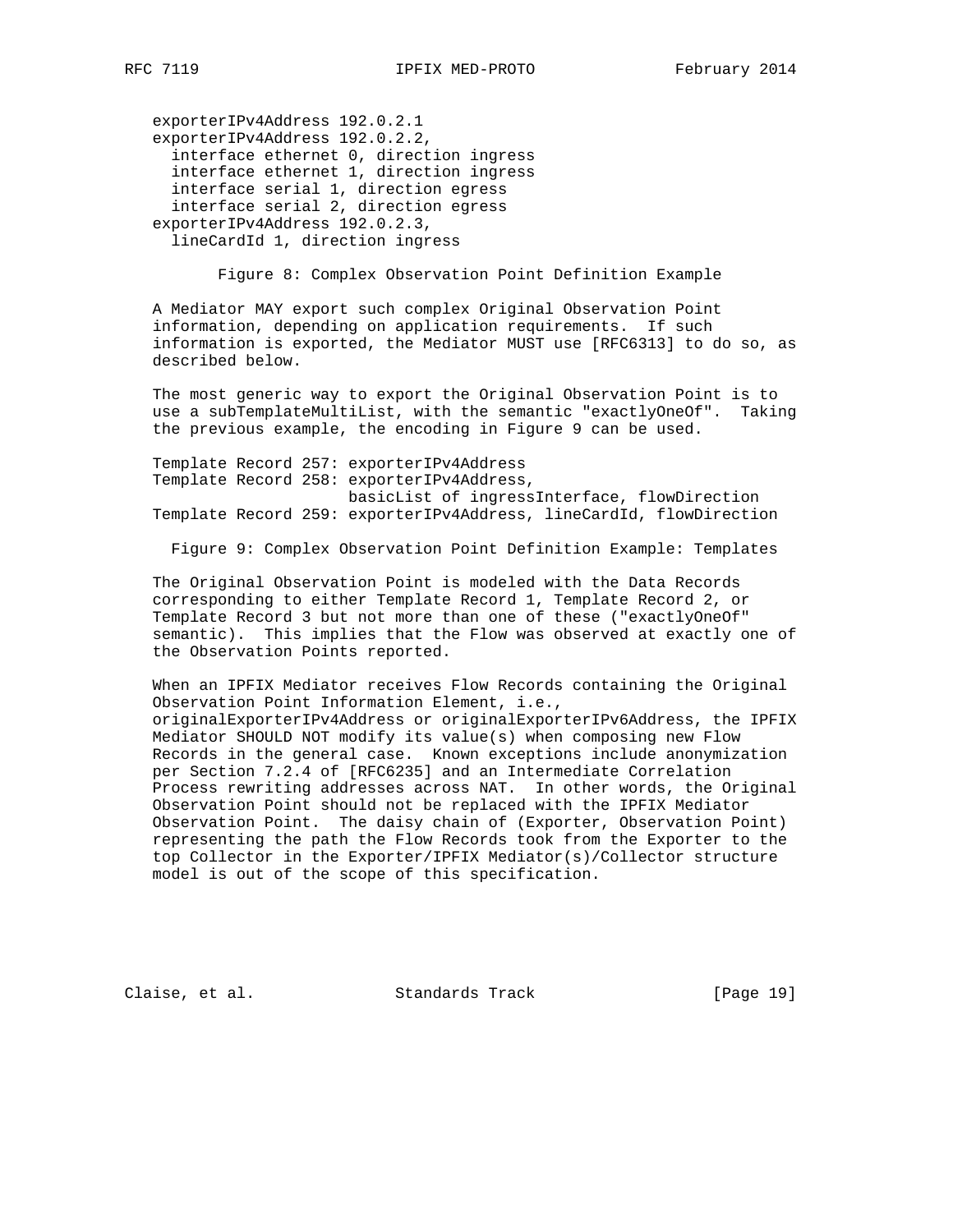exporterIPv4Address 192.0.2.1 exporterIPv4Address 192.0.2.2, interface ethernet 0, direction ingress interface ethernet 1, direction ingress interface serial 1, direction egress interface serial 2, direction egress exporterIPv4Address 192.0.2.3, lineCardId 1, direction ingress

Figure 8: Complex Observation Point Definition Example

 A Mediator MAY export such complex Original Observation Point information, depending on application requirements. If such information is exported, the Mediator MUST use [RFC6313] to do so, as described below.

 The most generic way to export the Original Observation Point is to use a subTemplateMultiList, with the semantic "exactlyOneOf". Taking the previous example, the encoding in Figure 9 can be used.

 Template Record 257: exporterIPv4Address Template Record 258: exporterIPv4Address, basicList of ingressInterface, flowDirection Template Record 259: exporterIPv4Address, lineCardId, flowDirection

Figure 9: Complex Observation Point Definition Example: Templates

 The Original Observation Point is modeled with the Data Records corresponding to either Template Record 1, Template Record 2, or Template Record 3 but not more than one of these ("exactlyOneOf" semantic). This implies that the Flow was observed at exactly one of the Observation Points reported.

 When an IPFIX Mediator receives Flow Records containing the Original Observation Point Information Element, i.e., originalExporterIPv4Address or originalExporterIPv6Address, the IPFIX Mediator SHOULD NOT modify its value(s) when composing new Flow Records in the general case. Known exceptions include anonymization per Section 7.2.4 of [RFC6235] and an Intermediate Correlation Process rewriting addresses across NAT. In other words, the Original Observation Point should not be replaced with the IPFIX Mediator Observation Point. The daisy chain of (Exporter, Observation Point) representing the path the Flow Records took from the Exporter to the top Collector in the Exporter/IPFIX Mediator(s)/Collector structure model is out of the scope of this specification.

Claise, et al. Standards Track [Page 19]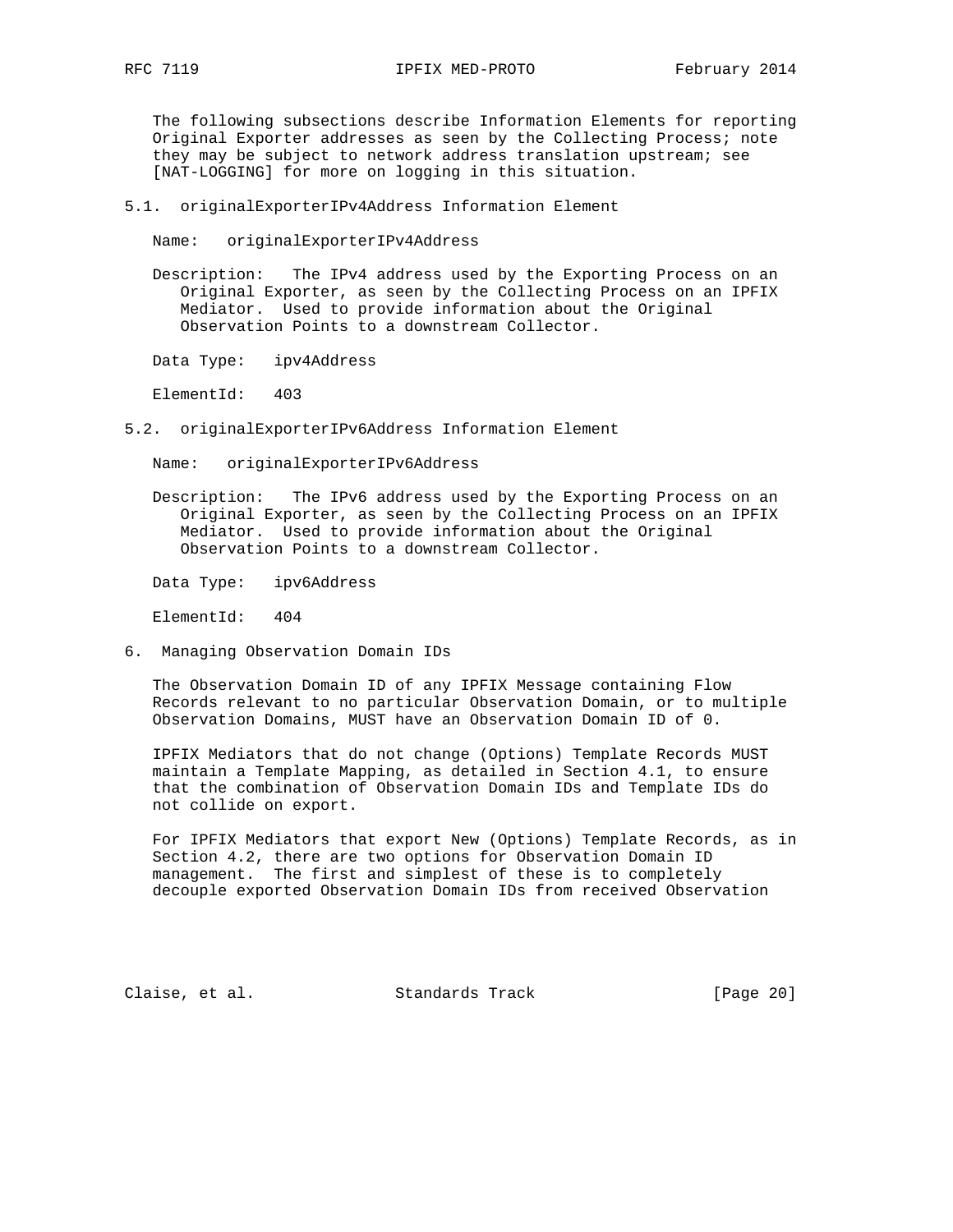The following subsections describe Information Elements for reporting Original Exporter addresses as seen by the Collecting Process; note they may be subject to network address translation upstream; see [NAT-LOGGING] for more on logging in this situation.

5.1. originalExporterIPv4Address Information Element

Name: originalExporterIPv4Address

 Description: The IPv4 address used by the Exporting Process on an Original Exporter, as seen by the Collecting Process on an IPFIX Mediator. Used to provide information about the Original Observation Points to a downstream Collector.

Data Type: ipv4Address

ElementId: 403

5.2. originalExporterIPv6Address Information Element

Name: originalExporterIPv6Address

 Description: The IPv6 address used by the Exporting Process on an Original Exporter, as seen by the Collecting Process on an IPFIX Mediator. Used to provide information about the Original Observation Points to a downstream Collector.

Data Type: ipv6Address

ElementId: 404

6. Managing Observation Domain IDs

 The Observation Domain ID of any IPFIX Message containing Flow Records relevant to no particular Observation Domain, or to multiple Observation Domains, MUST have an Observation Domain ID of 0.

 IPFIX Mediators that do not change (Options) Template Records MUST maintain a Template Mapping, as detailed in Section 4.1, to ensure that the combination of Observation Domain IDs and Template IDs do not collide on export.

 For IPFIX Mediators that export New (Options) Template Records, as in Section 4.2, there are two options for Observation Domain ID management. The first and simplest of these is to completely decouple exported Observation Domain IDs from received Observation

Claise, et al. Standards Track [Page 20]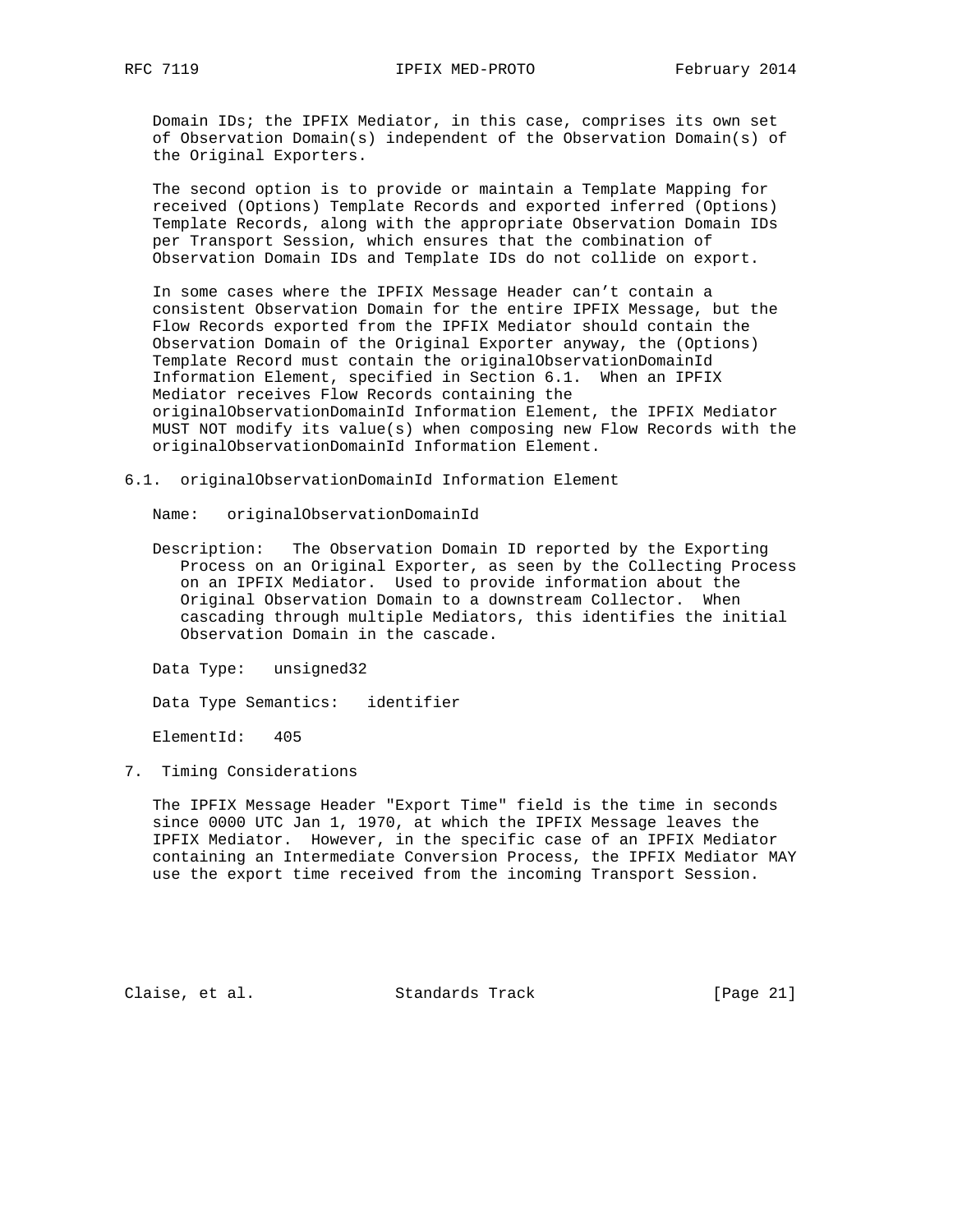Domain IDs; the IPFIX Mediator, in this case, comprises its own set of Observation Domain(s) independent of the Observation Domain(s) of the Original Exporters.

 The second option is to provide or maintain a Template Mapping for received (Options) Template Records and exported inferred (Options) Template Records, along with the appropriate Observation Domain IDs per Transport Session, which ensures that the combination of Observation Domain IDs and Template IDs do not collide on export.

 In some cases where the IPFIX Message Header can't contain a consistent Observation Domain for the entire IPFIX Message, but the Flow Records exported from the IPFIX Mediator should contain the Observation Domain of the Original Exporter anyway, the (Options) Template Record must contain the originalObservationDomainId Information Element, specified in Section 6.1. When an IPFIX Mediator receives Flow Records containing the originalObservationDomainId Information Element, the IPFIX Mediator MUST NOT modify its value(s) when composing new Flow Records with the originalObservationDomainId Information Element.

6.1. originalObservationDomainId Information Element

Name: originalObservationDomainId

 Description: The Observation Domain ID reported by the Exporting Process on an Original Exporter, as seen by the Collecting Process on an IPFIX Mediator. Used to provide information about the Original Observation Domain to a downstream Collector. When cascading through multiple Mediators, this identifies the initial Observation Domain in the cascade.

Data Type: unsigned32

Data Type Semantics: identifier

ElementId: 405

7. Timing Considerations

 The IPFIX Message Header "Export Time" field is the time in seconds since 0000 UTC Jan 1, 1970, at which the IPFIX Message leaves the IPFIX Mediator. However, in the specific case of an IPFIX Mediator containing an Intermediate Conversion Process, the IPFIX Mediator MAY use the export time received from the incoming Transport Session.

Claise, et al. Standards Track [Page 21]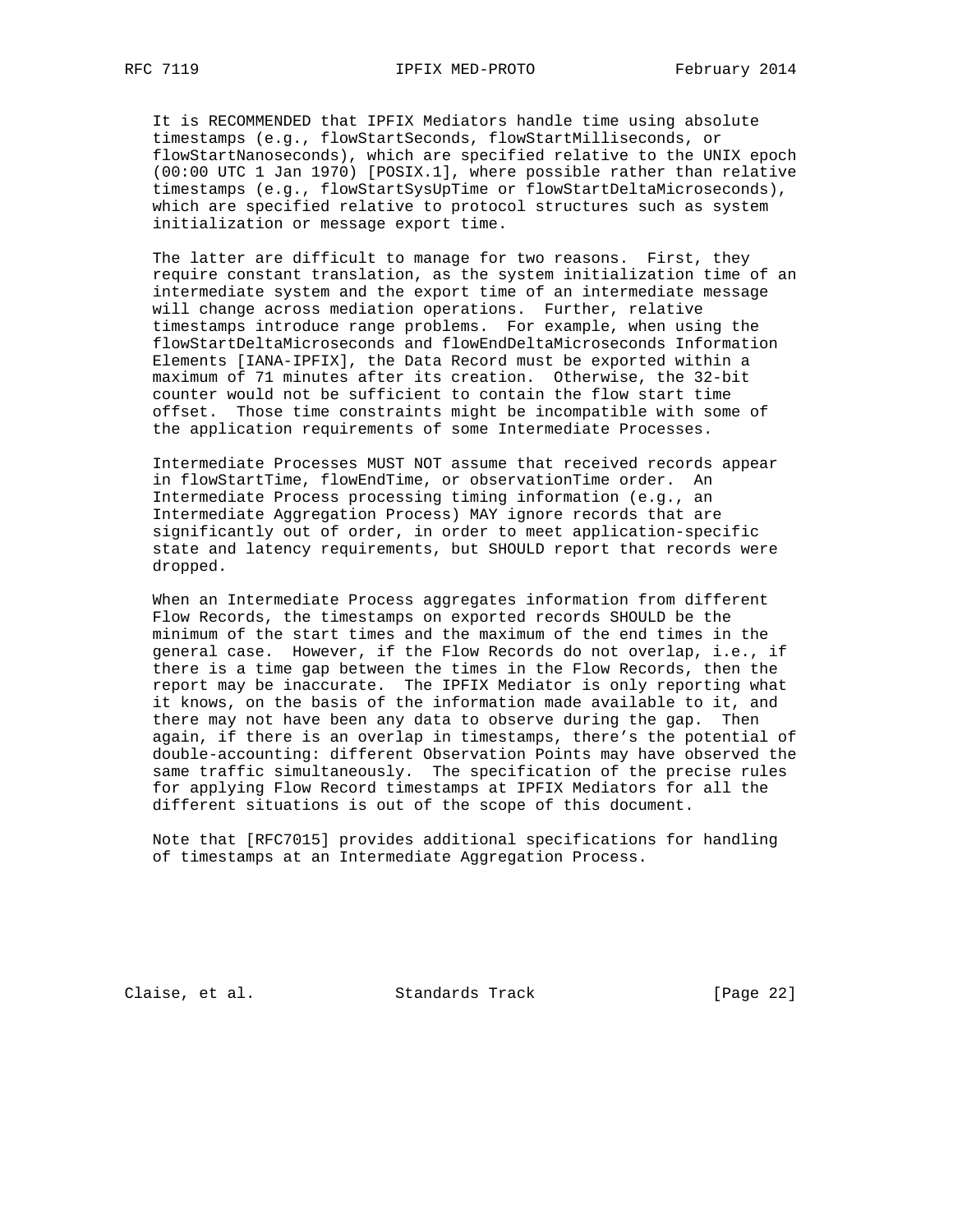It is RECOMMENDED that IPFIX Mediators handle time using absolute timestamps (e.g., flowStartSeconds, flowStartMilliseconds, or flowStartNanoseconds), which are specified relative to the UNIX epoch (00:00 UTC 1 Jan 1970) [POSIX.1], where possible rather than relative timestamps (e.g., flowStartSysUpTime or flowStartDeltaMicroseconds), which are specified relative to protocol structures such as system initialization or message export time.

The latter are difficult to manage for two reasons. First, they require constant translation, as the system initialization time of an intermediate system and the export time of an intermediate message will change across mediation operations. Further, relative timestamps introduce range problems. For example, when using the flowStartDeltaMicroseconds and flowEndDeltaMicroseconds Information Elements [IANA-IPFIX], the Data Record must be exported within a maximum of 71 minutes after its creation. Otherwise, the 32-bit counter would not be sufficient to contain the flow start time offset. Those time constraints might be incompatible with some of the application requirements of some Intermediate Processes.

 Intermediate Processes MUST NOT assume that received records appear in flowStartTime, flowEndTime, or observationTime order. An Intermediate Process processing timing information (e.g., an Intermediate Aggregation Process) MAY ignore records that are significantly out of order, in order to meet application-specific state and latency requirements, but SHOULD report that records were dropped.

 When an Intermediate Process aggregates information from different Flow Records, the timestamps on exported records SHOULD be the minimum of the start times and the maximum of the end times in the general case. However, if the Flow Records do not overlap, i.e., if there is a time gap between the times in the Flow Records, then the report may be inaccurate. The IPFIX Mediator is only reporting what it knows, on the basis of the information made available to it, and there may not have been any data to observe during the gap. Then again, if there is an overlap in timestamps, there's the potential of double-accounting: different Observation Points may have observed the same traffic simultaneously. The specification of the precise rules for applying Flow Record timestamps at IPFIX Mediators for all the different situations is out of the scope of this document.

 Note that [RFC7015] provides additional specifications for handling of timestamps at an Intermediate Aggregation Process.

Claise, et al. Standards Track [Page 22]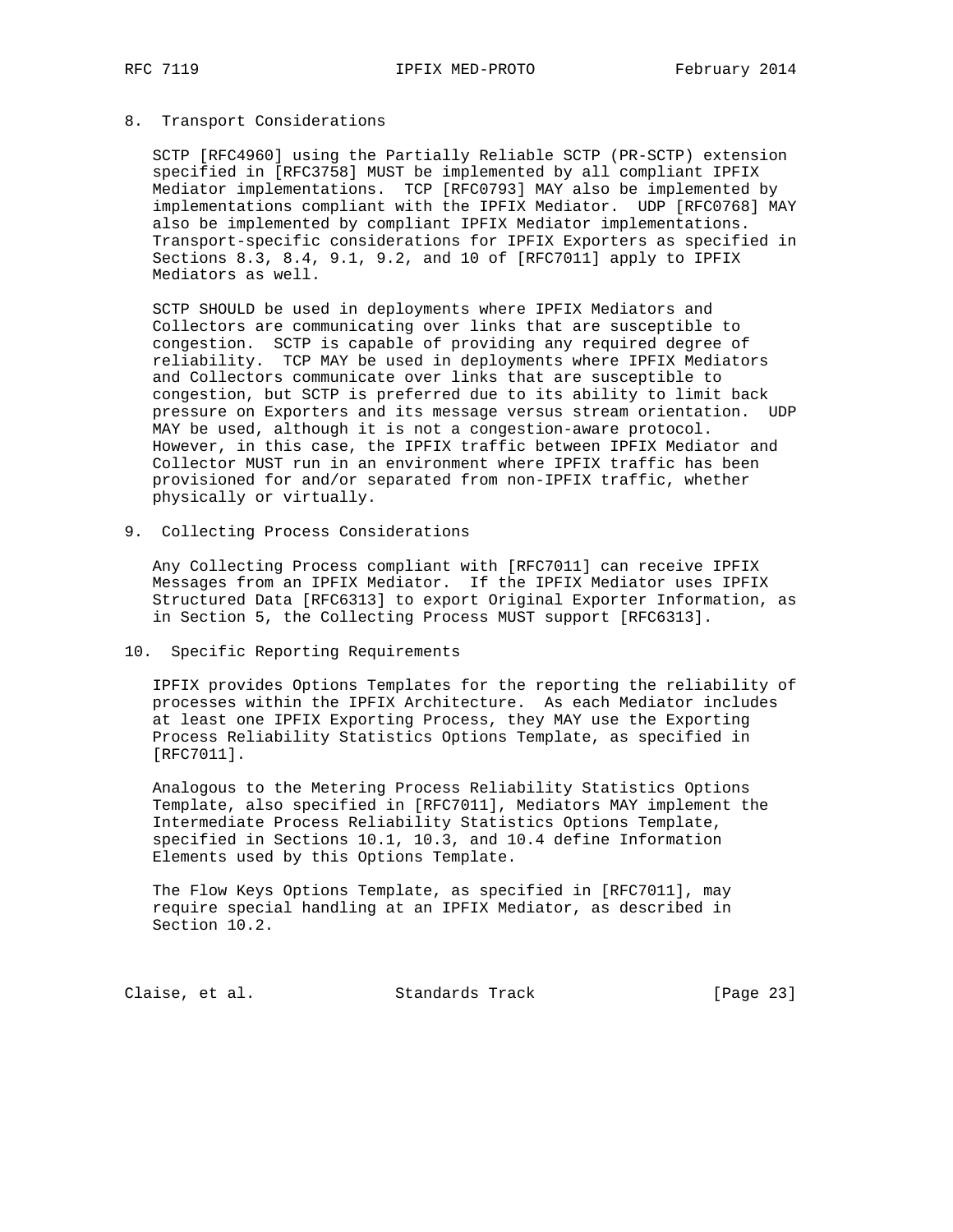### 8. Transport Considerations

 SCTP [RFC4960] using the Partially Reliable SCTP (PR-SCTP) extension specified in [RFC3758] MUST be implemented by all compliant IPFIX Mediator implementations. TCP [RFC0793] MAY also be implemented by implementations compliant with the IPFIX Mediator. UDP [RFC0768] MAY also be implemented by compliant IPFIX Mediator implementations. Transport-specific considerations for IPFIX Exporters as specified in Sections 8.3, 8.4, 9.1, 9.2, and 10 of [RFC7011] apply to IPFIX Mediators as well.

 SCTP SHOULD be used in deployments where IPFIX Mediators and Collectors are communicating over links that are susceptible to congestion. SCTP is capable of providing any required degree of reliability. TCP MAY be used in deployments where IPFIX Mediators and Collectors communicate over links that are susceptible to congestion, but SCTP is preferred due to its ability to limit back pressure on Exporters and its message versus stream orientation. UDP MAY be used, although it is not a congestion-aware protocol. However, in this case, the IPFIX traffic between IPFIX Mediator and Collector MUST run in an environment where IPFIX traffic has been provisioned for and/or separated from non-IPFIX traffic, whether physically or virtually.

9. Collecting Process Considerations

 Any Collecting Process compliant with [RFC7011] can receive IPFIX Messages from an IPFIX Mediator. If the IPFIX Mediator uses IPFIX Structured Data [RFC6313] to export Original Exporter Information, as in Section 5, the Collecting Process MUST support [RFC6313].

#### 10. Specific Reporting Requirements

 IPFIX provides Options Templates for the reporting the reliability of processes within the IPFIX Architecture. As each Mediator includes at least one IPFIX Exporting Process, they MAY use the Exporting Process Reliability Statistics Options Template, as specified in [RFC7011].

 Analogous to the Metering Process Reliability Statistics Options Template, also specified in [RFC7011], Mediators MAY implement the Intermediate Process Reliability Statistics Options Template, specified in Sections 10.1, 10.3, and 10.4 define Information Elements used by this Options Template.

 The Flow Keys Options Template, as specified in [RFC7011], may require special handling at an IPFIX Mediator, as described in Section 10.2.

Claise, et al. Standards Track [Page 23]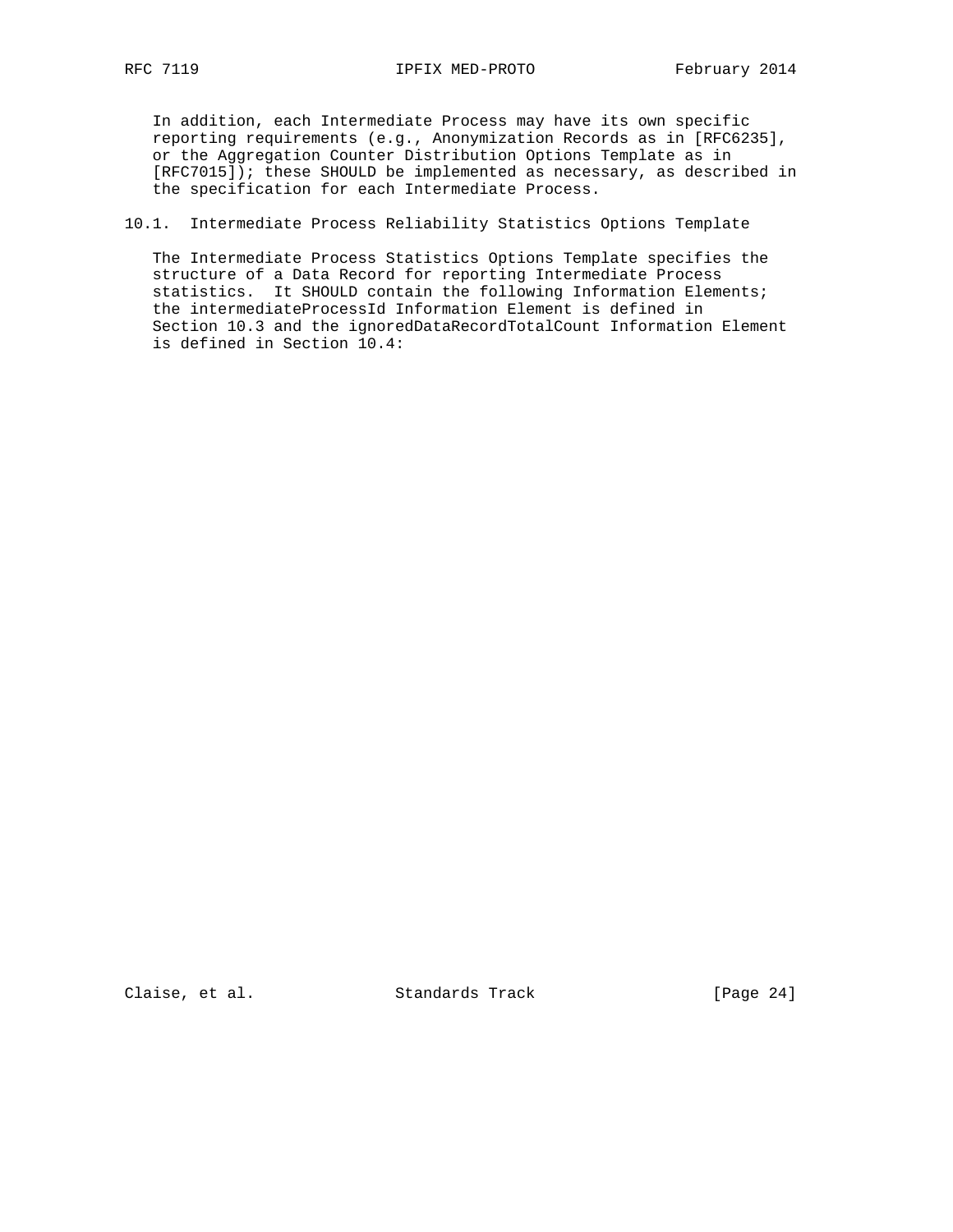In addition, each Intermediate Process may have its own specific reporting requirements (e.g., Anonymization Records as in [RFC6235], or the Aggregation Counter Distribution Options Template as in [RFC7015]); these SHOULD be implemented as necessary, as described in the specification for each Intermediate Process.

# 10.1. Intermediate Process Reliability Statistics Options Template

 The Intermediate Process Statistics Options Template specifies the structure of a Data Record for reporting Intermediate Process statistics. It SHOULD contain the following Information Elements; the intermediateProcessId Information Element is defined in Section 10.3 and the ignoredDataRecordTotalCount Information Element is defined in Section 10.4:

Claise, et al. Standards Track [Page 24]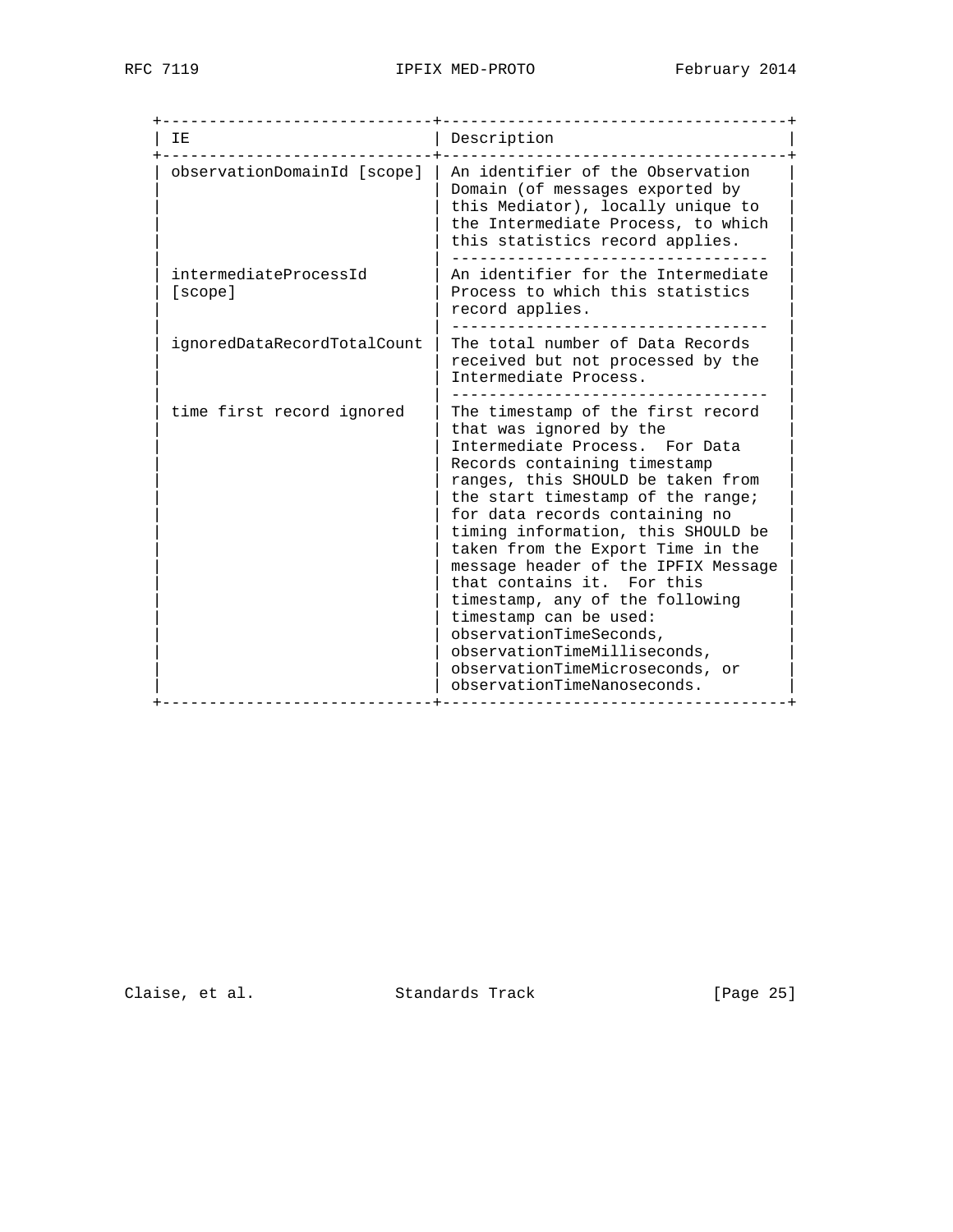| T F.                             | Description                                                                                                                                                                                                                                                                                                                                                                                                                                                                                                                                                                          |
|----------------------------------|--------------------------------------------------------------------------------------------------------------------------------------------------------------------------------------------------------------------------------------------------------------------------------------------------------------------------------------------------------------------------------------------------------------------------------------------------------------------------------------------------------------------------------------------------------------------------------------|
| observationDomainId [scope]      | An identifier of the Observation<br>Domain (of messages exported by<br>this Mediator), locally unique to<br>the Intermediate Process, to which<br>this statistics record applies.                                                                                                                                                                                                                                                                                                                                                                                                    |
| intermediateProcessId<br>[scope] | An identifier for the Intermediate<br>Process to which this statistics<br>record applies.                                                                                                                                                                                                                                                                                                                                                                                                                                                                                            |
| ignoredDataRecordTotalCount      | The total number of Data Records<br>received but not processed by the<br>Intermediate Process.                                                                                                                                                                                                                                                                                                                                                                                                                                                                                       |
| time first record ignored        | The timestamp of the first record<br>that was ignored by the<br>Intermediate Process. For Data<br>Records containing timestamp<br>ranges, this SHOULD be taken from<br>the start timestamp of the range;<br>for data records containing no<br>timing information, this SHOULD be<br>taken from the Export Time in the<br>message header of the IPFIX Message<br>that contains it. For this<br>timestamp, any of the following<br>timestamp can be used:<br>observationTimeSeconds,<br>observationTimeMilliseconds,<br>observationTimeMicroseconds, or<br>observationTimeNanoseconds. |

Claise, et al. Standards Track [Page 25]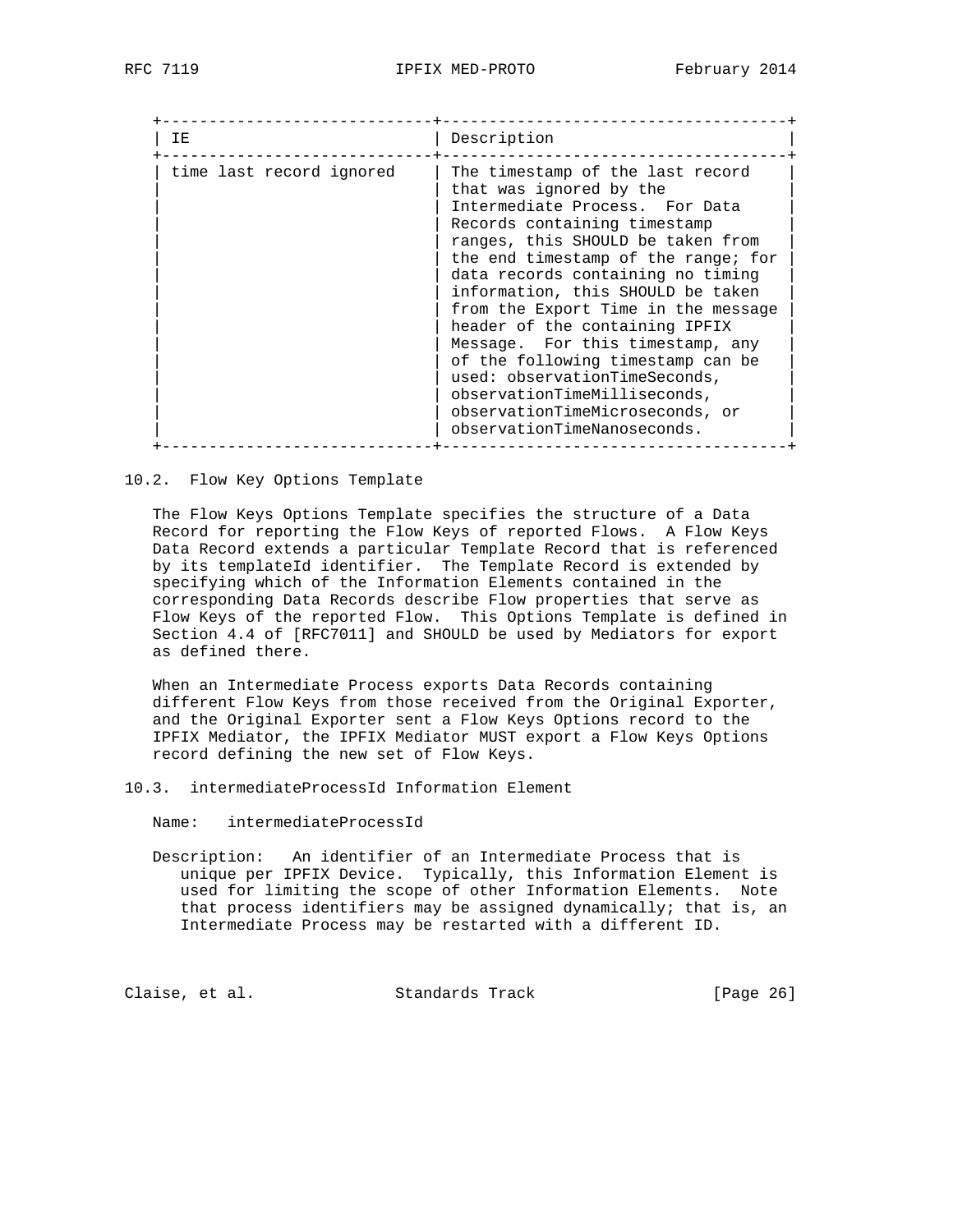| IΕ                       | Description                                                                                                                                                                                                                                                                                                                                                                                                                                                                                                                                                              |
|--------------------------|--------------------------------------------------------------------------------------------------------------------------------------------------------------------------------------------------------------------------------------------------------------------------------------------------------------------------------------------------------------------------------------------------------------------------------------------------------------------------------------------------------------------------------------------------------------------------|
| time last record ignored | The timestamp of the last record<br>that was ignored by the<br>Intermediate Process. For Data<br>Records containing timestamp<br>ranges, this SHOULD be taken from<br>the end timestamp of the range; for<br>data records containing no timing<br>information, this SHOULD be taken<br>from the Export Time in the message<br>header of the containing IPFIX<br>Message. For this timestamp, any<br>of the following timestamp can be<br>used: observationTimeSeconds,<br>observationTimeMilliseconds,<br>observationTimeMicroseconds, or<br>observationTimeNanoseconds. |

# 10.2. Flow Key Options Template

 The Flow Keys Options Template specifies the structure of a Data Record for reporting the Flow Keys of reported Flows. A Flow Keys Data Record extends a particular Template Record that is referenced by its templateId identifier. The Template Record is extended by specifying which of the Information Elements contained in the corresponding Data Records describe Flow properties that serve as Flow Keys of the reported Flow. This Options Template is defined in Section 4.4 of [RFC7011] and SHOULD be used by Mediators for export as defined there.

 When an Intermediate Process exports Data Records containing different Flow Keys from those received from the Original Exporter, and the Original Exporter sent a Flow Keys Options record to the IPFIX Mediator, the IPFIX Mediator MUST export a Flow Keys Options record defining the new set of Flow Keys.

- 10.3. intermediateProcessId Information Element
	- Name: intermediateProcessId
	- Description: An identifier of an Intermediate Process that is unique per IPFIX Device. Typically, this Information Element is used for limiting the scope of other Information Elements. Note that process identifiers may be assigned dynamically; that is, an Intermediate Process may be restarted with a different ID.

Claise, et al. Standards Track [Page 26]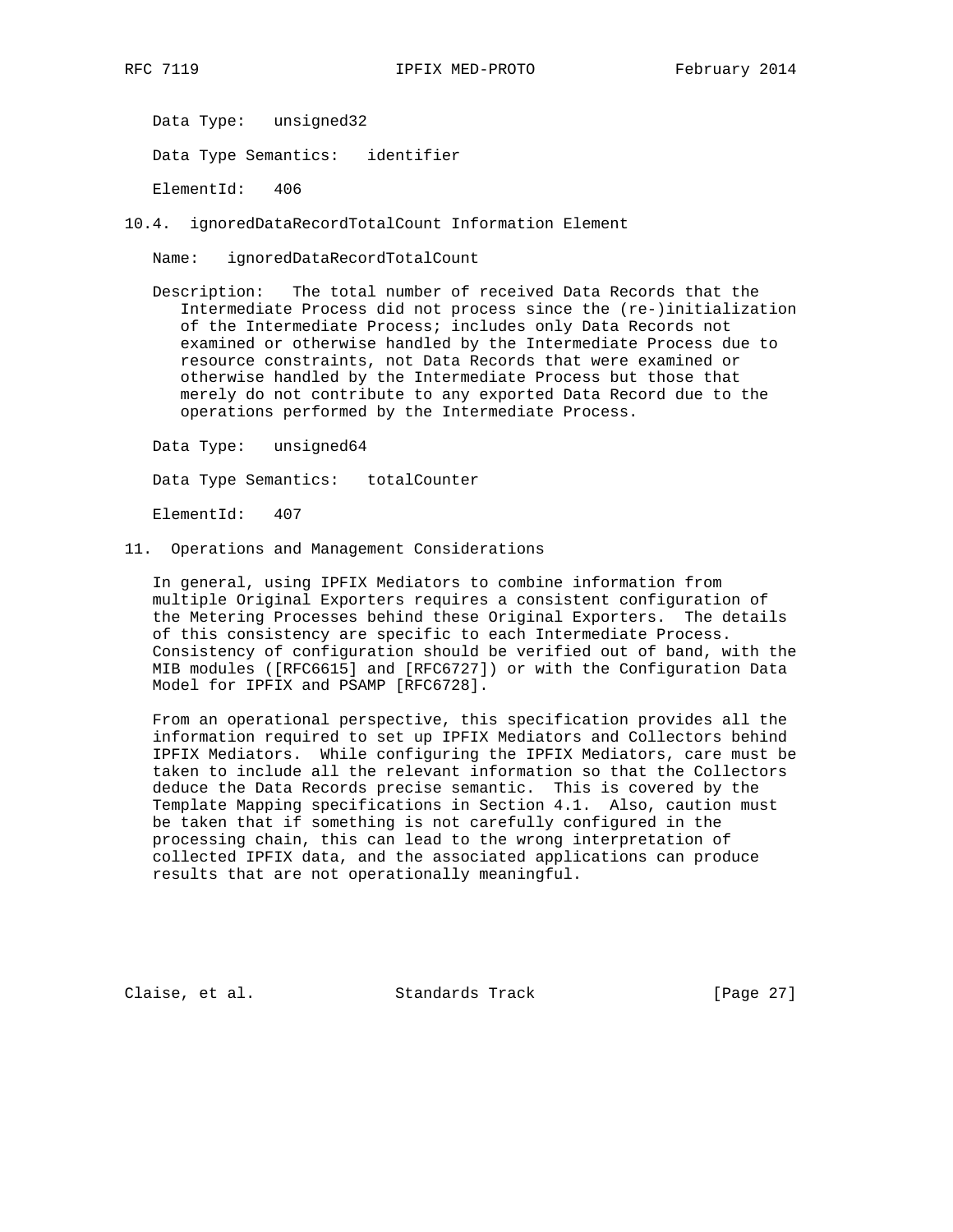Data Type: unsigned32

Data Type Semantics: identifier

ElementId: 406

10.4. ignoredDataRecordTotalCount Information Element

Name: ignoredDataRecordTotalCount

 Description: The total number of received Data Records that the Intermediate Process did not process since the (re-)initialization of the Intermediate Process; includes only Data Records not examined or otherwise handled by the Intermediate Process due to resource constraints, not Data Records that were examined or otherwise handled by the Intermediate Process but those that merely do not contribute to any exported Data Record due to the operations performed by the Intermediate Process.

Data Type: unsigned64

Data Type Semantics: totalCounter

ElementId: 407

11. Operations and Management Considerations

 In general, using IPFIX Mediators to combine information from multiple Original Exporters requires a consistent configuration of the Metering Processes behind these Original Exporters. The details of this consistency are specific to each Intermediate Process. Consistency of configuration should be verified out of band, with the MIB modules ([RFC6615] and [RFC6727]) or with the Configuration Data Model for IPFIX and PSAMP [RFC6728].

 From an operational perspective, this specification provides all the information required to set up IPFIX Mediators and Collectors behind IPFIX Mediators. While configuring the IPFIX Mediators, care must be taken to include all the relevant information so that the Collectors deduce the Data Records precise semantic. This is covered by the Template Mapping specifications in Section 4.1. Also, caution must be taken that if something is not carefully configured in the processing chain, this can lead to the wrong interpretation of collected IPFIX data, and the associated applications can produce results that are not operationally meaningful.

Claise, et al. Standards Track [Page 27]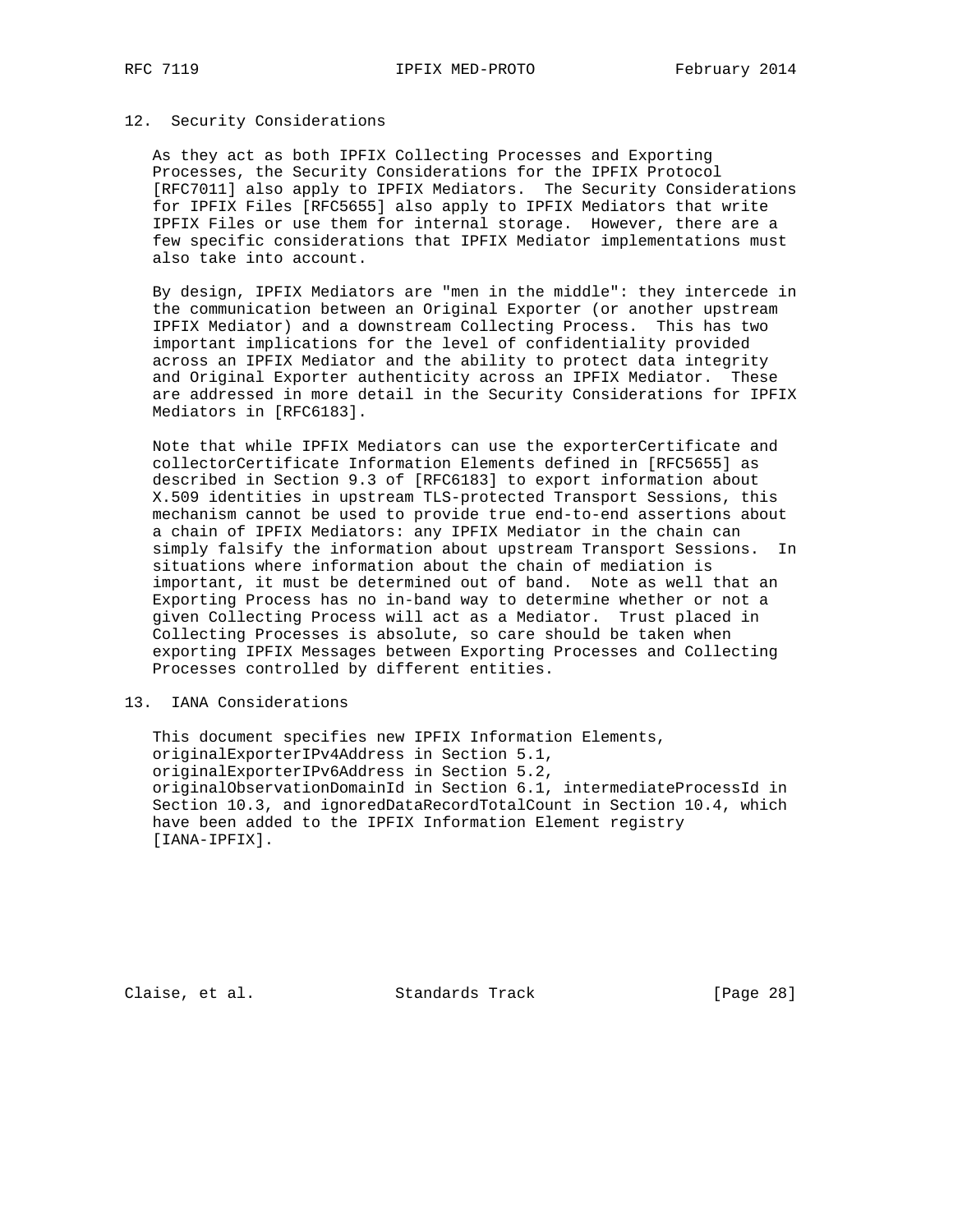### 12. Security Considerations

 As they act as both IPFIX Collecting Processes and Exporting Processes, the Security Considerations for the IPFIX Protocol [RFC7011] also apply to IPFIX Mediators. The Security Considerations for IPFIX Files [RFC5655] also apply to IPFIX Mediators that write IPFIX Files or use them for internal storage. However, there are a few specific considerations that IPFIX Mediator implementations must also take into account.

 By design, IPFIX Mediators are "men in the middle": they intercede in the communication between an Original Exporter (or another upstream IPFIX Mediator) and a downstream Collecting Process. This has two important implications for the level of confidentiality provided across an IPFIX Mediator and the ability to protect data integrity and Original Exporter authenticity across an IPFIX Mediator. These are addressed in more detail in the Security Considerations for IPFIX Mediators in [RFC6183].

 Note that while IPFIX Mediators can use the exporterCertificate and collectorCertificate Information Elements defined in [RFC5655] as described in Section 9.3 of [RFC6183] to export information about X.509 identities in upstream TLS-protected Transport Sessions, this mechanism cannot be used to provide true end-to-end assertions about a chain of IPFIX Mediators: any IPFIX Mediator in the chain can simply falsify the information about upstream Transport Sessions. In situations where information about the chain of mediation is important, it must be determined out of band. Note as well that an Exporting Process has no in-band way to determine whether or not a given Collecting Process will act as a Mediator. Trust placed in Collecting Processes is absolute, so care should be taken when exporting IPFIX Messages between Exporting Processes and Collecting Processes controlled by different entities.

# 13. IANA Considerations

 This document specifies new IPFIX Information Elements, originalExporterIPv4Address in Section 5.1, originalExporterIPv6Address in Section 5.2, originalObservationDomainId in Section 6.1, intermediateProcessId in Section 10.3, and ignoredDataRecordTotalCount in Section 10.4, which have been added to the IPFIX Information Element registry [IANA-IPFIX].

Claise, et al. Standards Track [Page 28]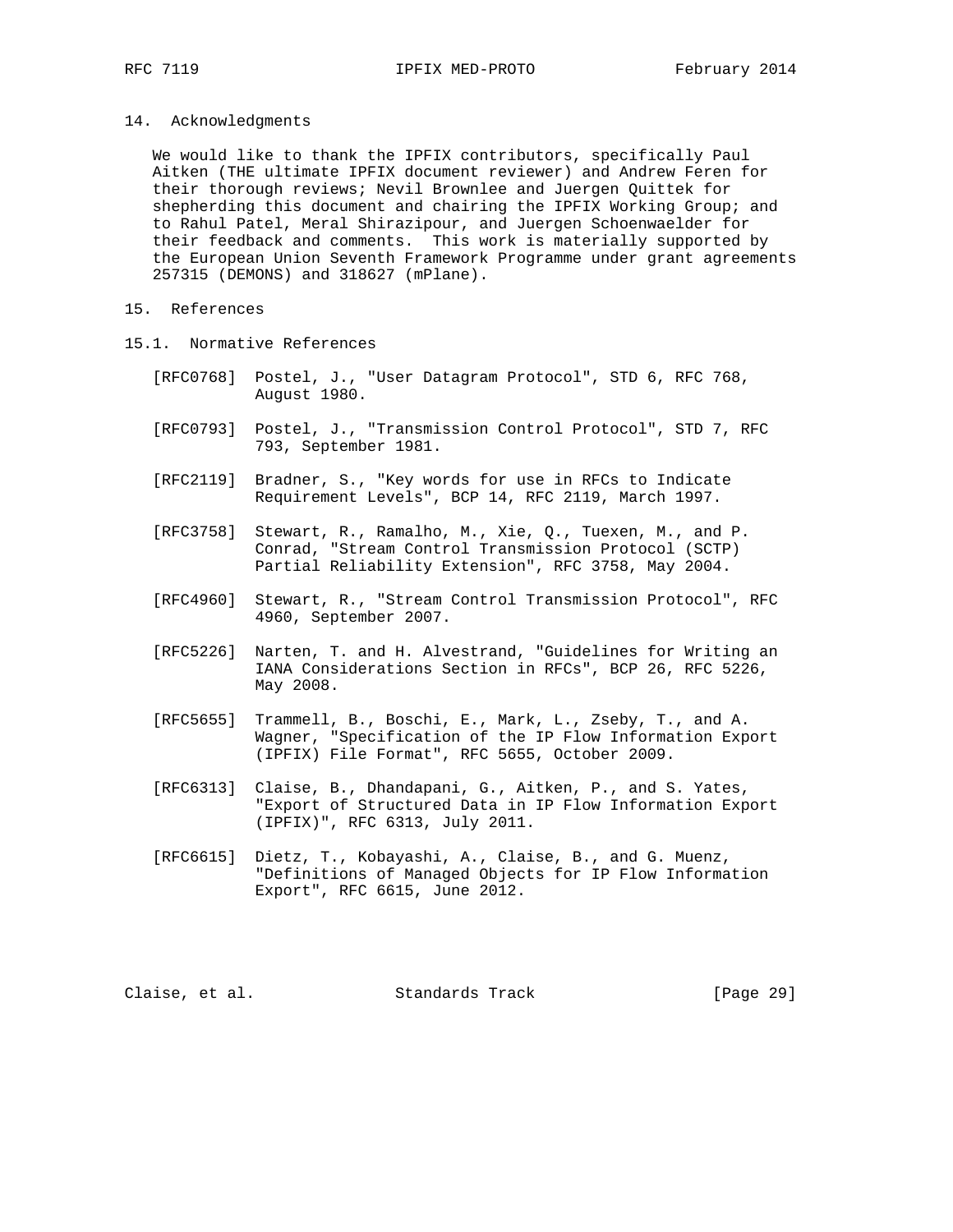#### 14. Acknowledgments

 We would like to thank the IPFIX contributors, specifically Paul Aitken (THE ultimate IPFIX document reviewer) and Andrew Feren for their thorough reviews; Nevil Brownlee and Juergen Quittek for shepherding this document and chairing the IPFIX Working Group; and to Rahul Patel, Meral Shirazipour, and Juergen Schoenwaelder for their feedback and comments. This work is materially supported by the European Union Seventh Framework Programme under grant agreements 257315 (DEMONS) and 318627 (mPlane).

# 15. References

- 15.1. Normative References
	- [RFC0768] Postel, J., "User Datagram Protocol", STD 6, RFC 768, August 1980.
	- [RFC0793] Postel, J., "Transmission Control Protocol", STD 7, RFC 793, September 1981.
	- [RFC2119] Bradner, S., "Key words for use in RFCs to Indicate Requirement Levels", BCP 14, RFC 2119, March 1997.
	- [RFC3758] Stewart, R., Ramalho, M., Xie, Q., Tuexen, M., and P. Conrad, "Stream Control Transmission Protocol (SCTP) Partial Reliability Extension", RFC 3758, May 2004.
	- [RFC4960] Stewart, R., "Stream Control Transmission Protocol", RFC 4960, September 2007.
	- [RFC5226] Narten, T. and H. Alvestrand, "Guidelines for Writing an IANA Considerations Section in RFCs", BCP 26, RFC 5226, May 2008.
	- [RFC5655] Trammell, B., Boschi, E., Mark, L., Zseby, T., and A. Wagner, "Specification of the IP Flow Information Export (IPFIX) File Format", RFC 5655, October 2009.
	- [RFC6313] Claise, B., Dhandapani, G., Aitken, P., and S. Yates, "Export of Structured Data in IP Flow Information Export (IPFIX)", RFC 6313, July 2011.
	- [RFC6615] Dietz, T., Kobayashi, A., Claise, B., and G. Muenz, "Definitions of Managed Objects for IP Flow Information Export", RFC 6615, June 2012.

Claise, et al. Standards Track [Page 29]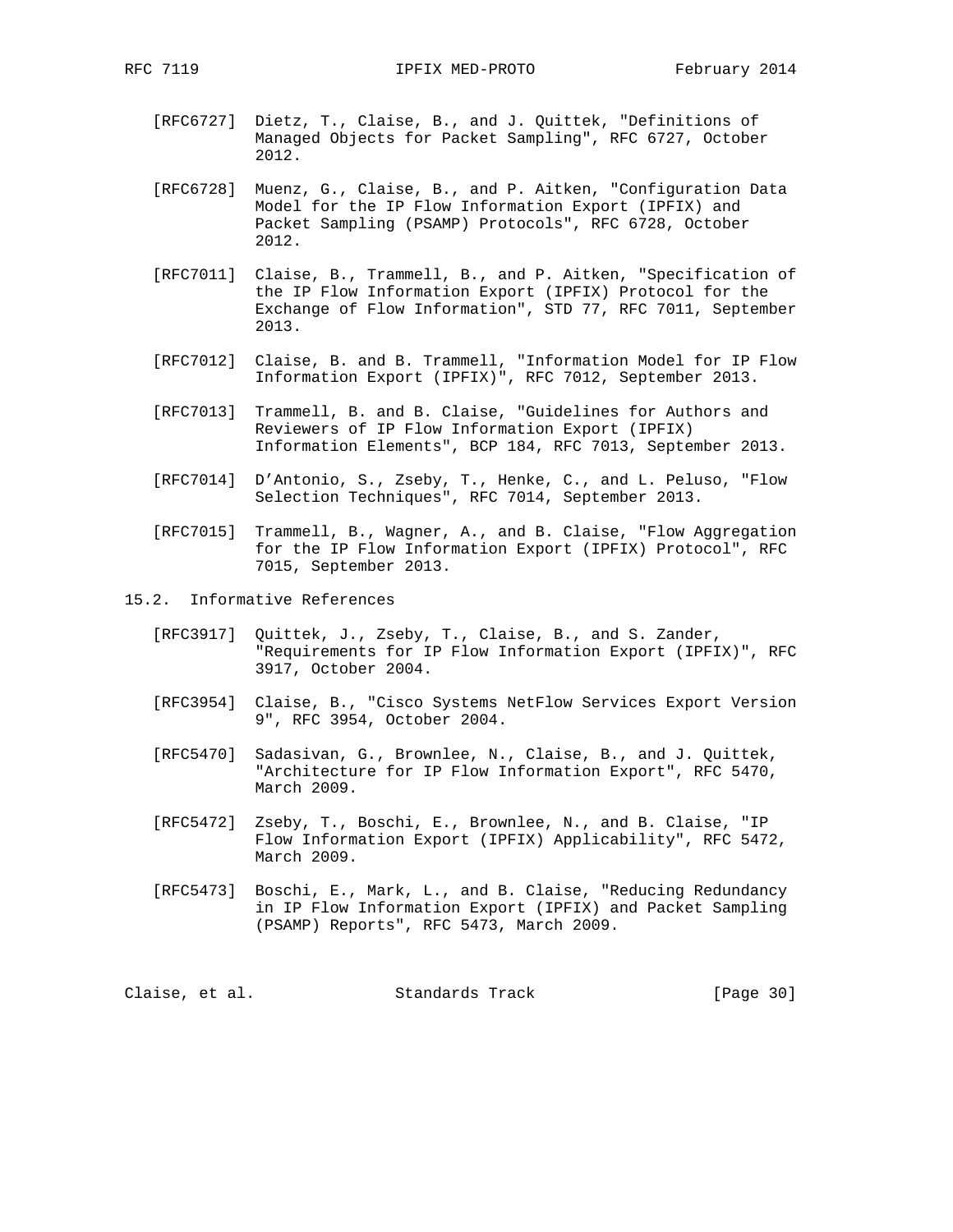- [RFC6727] Dietz, T., Claise, B., and J. Quittek, "Definitions of Managed Objects for Packet Sampling", RFC 6727, October 2012.
- [RFC6728] Muenz, G., Claise, B., and P. Aitken, "Configuration Data Model for the IP Flow Information Export (IPFIX) and Packet Sampling (PSAMP) Protocols", RFC 6728, October 2012.
- [RFC7011] Claise, B., Trammell, B., and P. Aitken, "Specification of the IP Flow Information Export (IPFIX) Protocol for the Exchange of Flow Information", STD 77, RFC 7011, September 2013.
- [RFC7012] Claise, B. and B. Trammell, "Information Model for IP Flow Information Export (IPFIX)", RFC 7012, September 2013.
- [RFC7013] Trammell, B. and B. Claise, "Guidelines for Authors and Reviewers of IP Flow Information Export (IPFIX) Information Elements", BCP 184, RFC 7013, September 2013.
- [RFC7014] D'Antonio, S., Zseby, T., Henke, C., and L. Peluso, "Flow Selection Techniques", RFC 7014, September 2013.
- [RFC7015] Trammell, B., Wagner, A., and B. Claise, "Flow Aggregation for the IP Flow Information Export (IPFIX) Protocol", RFC 7015, September 2013.
- 15.2. Informative References
	- [RFC3917] Quittek, J., Zseby, T., Claise, B., and S. Zander, "Requirements for IP Flow Information Export (IPFIX)", RFC 3917, October 2004.
	- [RFC3954] Claise, B., "Cisco Systems NetFlow Services Export Version 9", RFC 3954, October 2004.
	- [RFC5470] Sadasivan, G., Brownlee, N., Claise, B., and J. Quittek, "Architecture for IP Flow Information Export", RFC 5470, March 2009.
	- [RFC5472] Zseby, T., Boschi, E., Brownlee, N., and B. Claise, "IP Flow Information Export (IPFIX) Applicability", RFC 5472, March 2009.
	- [RFC5473] Boschi, E., Mark, L., and B. Claise, "Reducing Redundancy in IP Flow Information Export (IPFIX) and Packet Sampling (PSAMP) Reports", RFC 5473, March 2009.

Claise, et al. Standards Track [Page 30]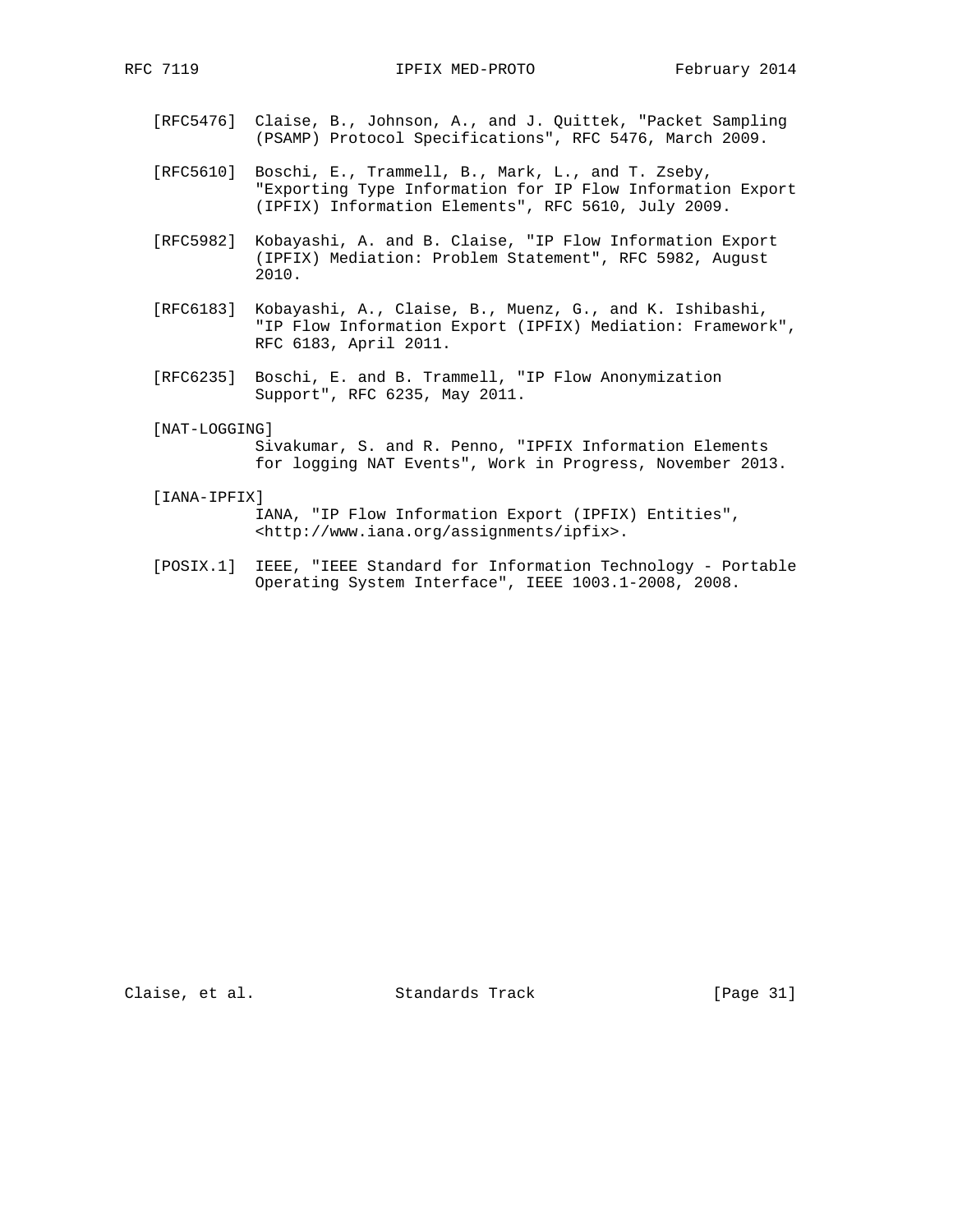- [RFC5476] Claise, B., Johnson, A., and J. Quittek, "Packet Sampling (PSAMP) Protocol Specifications", RFC 5476, March 2009.
- [RFC5610] Boschi, E., Trammell, B., Mark, L., and T. Zseby, "Exporting Type Information for IP Flow Information Export (IPFIX) Information Elements", RFC 5610, July 2009.
- [RFC5982] Kobayashi, A. and B. Claise, "IP Flow Information Export (IPFIX) Mediation: Problem Statement", RFC 5982, August 2010.
- [RFC6183] Kobayashi, A., Claise, B., Muenz, G., and K. Ishibashi, "IP Flow Information Export (IPFIX) Mediation: Framework", RFC 6183, April 2011.
- [RFC6235] Boschi, E. and B. Trammell, "IP Flow Anonymization Support", RFC 6235, May 2011.
- [NAT-LOGGING]

 Sivakumar, S. and R. Penno, "IPFIX Information Elements for logging NAT Events", Work in Progress, November 2013.

[IANA-IPFIX]

 IANA, "IP Flow Information Export (IPFIX) Entities", <http://www.iana.org/assignments/ipfix>.

 [POSIX.1] IEEE, "IEEE Standard for Information Technology - Portable Operating System Interface", IEEE 1003.1-2008, 2008.

Claise, et al. Standards Track [Page 31]